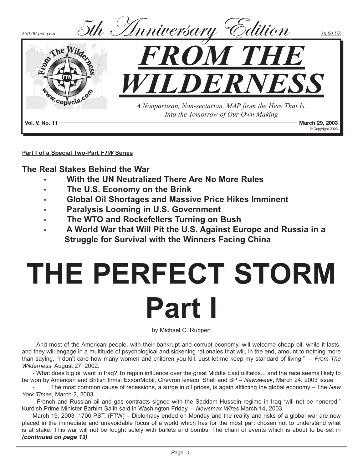

**Part I of a Special Two-Part** *FTW* **Series**

**The Real Stakes Behind the War**

- **With the UN Neutralized There Are No More Rules**
- **The U.S. Economy on the Brink**
- **Global Oil Shortages and Massive Price Hikes Imminent**
- **Paralysis Looming in U.S. Government**
- **The WTO and Rockefellers Turning on Bush**
- **A World War that Will Pit the U.S. Against Europe and Russia in a Struggle for Survival with the Winners Facing China**

# **THE PERFECT STORM Part I**

by Michael C. Ruppert

- And most of the American people, with their bankrupt and corrupt economy, will welcome cheap oil, while it lasts, and they will engage in a multitude of psychological and sickening rationales that will, in the end, amount to nothing more than saying, "I don't care how many women and children you kill. Just let me keep my standard of living." -- *From The Wilderness*, August 27, 2002.

- What does big oil want in Iraq? To regain influence over the great Middle East oilfields... and the race seems likely to be won by American and British firms: ExxonMobil, ChevronTexaco, Shell and BP – *Newsweek*, March 24, 2003 issue

- The most common cause of recessions, a surge in oil prices, is again afflicting the global economy – The *New York Times*, March 2, 2003

- French and Russian oil and gas contracts signed with the Saddam Hussein regime in Iraq "will not be honored," Kurdish Prime Minister Barhim Salih said in Washington Friday. – *Newsmax Wires* March 14, 2003

March 19, 2003 1700 PST, (FTW) – Diplomacy ended on Monday and the reality and risks of a global war are now placed in the immediate and unavoidable focus of a world which has for the most part chosen not to understand what is at stake. This war will not be fought solely with bullets and bombs. The chain of events which is about to be set in *(continued on page 13)*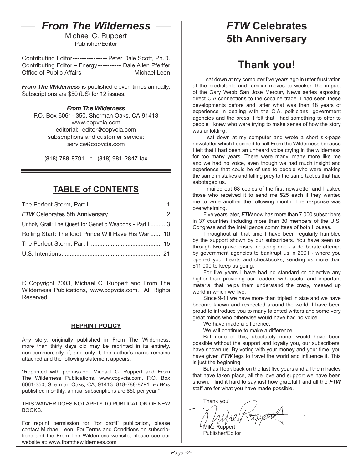## *From The Wilderness*

Michael C. Ruppert Publisher/Editor

Contributing Editor--------------- Peter Dale Scott, Ph.D. Contributing Editor – Energy ---------- Dale Allen Pfeiffer Office of Public Affairs---------------------- Michael Leon

*From The Wilderness* is published eleven times annually. Subscriptions are \$50 (US) for 12 issues.

#### *From The Wilderness*

P.O. Box 6061- 350, Sherman Oaks, CA 91413 www.copvcia.com editorial: editor@copvcia.com subscriptions and customer service: service@copvcia.com

(818) 788-8791 \* (818) 981-2847 fax

### **TABLE of CONTENTS**

| Unholy Grail: The Quest for Genetic Weapons - Part I  3 |  |
|---------------------------------------------------------|--|
| Rolling Start: The Idiot Prince Will Have His War  10   |  |
|                                                         |  |
|                                                         |  |

© Copyright 2003, Michael C. Ruppert and From The Wilderness Publications, www.copvcia.com. All Rights Reserved.

#### **REPRINT POLICY**

Any story, originally published in From The Wilderness, more than thirty days old may be reprinted in its entirety, non-commercially, if, and only if, the author's name remains attached and the following statement appears:

"Reprinted with permission, Michael C. Ruppert and From The Wilderness Publications, www.copvcia.com, P.O. Box 6061-350, Sherman Oaks, CA, 91413. 818-788-8791. *FTW* is published monthly, annual subscriptions are \$50 per year."

THIS WAIVER DOES NOT APPLY TO PUBLICATION OF NEW BOOKS.

For reprint permission for "for profit" publication, please contact Michael Leon. For Terms and Conditions on subscriptions and the From The Wilderness website, please see our website at: www.fromthewilderness.com

## *FTW* **Celebrates 5th Anniversary**

## **Thank you!**

I sat down at my computer five years ago in utter frustration at the predictable and familiar moves to weaken the impact of the Gary Webb San Jose Mercury News series exposing direct CIA connections to the cocaine trade. I had seen these developments before and, after what was then 18 years of experience in dealing with the CIA, politicians, government agencies and the press, I felt that I had something to offer to people I knew who were trying to make sense of how the story was unfolding.

I sat down at my computer and wrote a short six-page newsletter which I decided to call From the Wilderness because I felt that I had been an unheard voice crying in the wilderness for too many years. There were many, many more like me and we had no voice, even though we had much insight and experience that could be of use to people who were making the same mistakes and falling prey to the same tactics that had sabotaged us.

I mailed out 68 copies of the first newsletter and I asked those who received it to send me \$25 each if they wanted me to write another the following month. The response was overwhelming.

Five years later, *FTW* now has more than 7,000 subscribers in 37 countries including more than 30 members of the U.S. Congress and the intelligence committees of both Houses.

Throughout all that time I have been regularly humbled by the support shown by our subscribers. You have seen us through two grave crises including one - a deliberate attempt by government agencies to bankrupt us in 2001 - where you opened your hearts and checkbooks, sending us more than \$11,000 to keep us going.

For five years I have had no standard or objective any higher than providing our readers with useful and important material that helps them understand the crazy, messed up world in which we live.

Since 9-11 we have more than tripled in size and we have become known and respected around the world. I have been proud to introduce you to many talented writers and some very great minds who otherwise would have had no voice.

We have made a difference.

We will continue to make a difference.

But none of this, absolutely none, would have been possible without the support and loyalty you, our subscribers, have shown us. By voting with your money and your time, you have given *FTW* legs to travel the world and influence it. This is just the beginning.

But as I look back on the last five years and all the miracles that have taken place, all the love and support we have been shown, I find it hard to say just how grateful I and all the *FTW* staff are for what you have made possible.

Thank you! Mike Ruppert

Publisher/Editor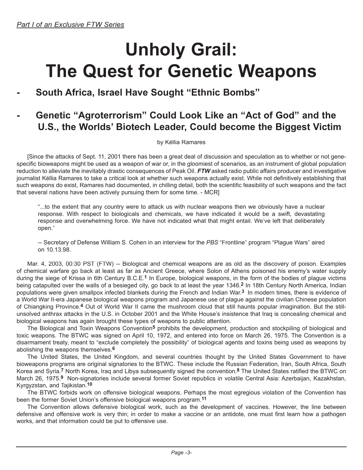## **Unholy Grail: The Quest for Genetic Weapons**

### **- South Africa, Israel Have Sought "Ethnic Bombs"**

### **- Genetic "Agroterrorism" Could Look Like an "Act of God" and the U.S., the Worlds' Biotech Leader, Could become the Biggest Victim**

by Kéllia Ramares

[Since the attacks of Sept. 11, 2001 there has been a great deal of discussion and speculation as to whether or not genespecific bioweapons might be used as a weapon of war or, in the gloomiest of scenarios, as an instrument of global population reduction to alleviate the inevitably drastic consequences of Peak Oil. *FTW* asked radio public affairs producer and investigative journalist Kéllia Ramares to take a critical look at whether such weapons actually exist. While not definitively establishing that such weapons do exist, Ramares had documented, in chilling detail, both the scientific feasibility of such weapons and the fact that several nations have been actively pursuing them for some time. - MCR]

"...to the extent that any country were to attack us with nuclear weapons then we obviously have a nuclear response. With respect to biologicals and chemicals, we have indicated it would be a swift, devastating response and overwhelming force. We have not indicated what that might entail. We've left that deliberately open."

-- Secretary of Defense William S. Cohen in an interview for the *PBS* "Frontline" program "Plague Wars" aired on 10.13.98.

Mar. 4, 2003, 00:30 PST (FTW) -- Biological and chemical weapons are as old as the discovery of poison. Examples of chemical warfare go back at least as far as Ancient Greece, where Solon of Athens poisoned his enemy's water supply during the siege of Krissa in 6th Century B.C.E.**1** In Europe, biological weapons, in the form of the bodies of plague victims being catapulted over the walls of a besieged city, go back to at least the year 1346.**2** In 18th Century North America, Indian populations were given smallpox infected blankets during the French and Indian War.**3** In modern times, there is evidence of a World War II-era Japanese biological weapons program and Japanese use of plague against the civilian Chinese population of Chiangking Province.**4** Out of World War II came the mushroom cloud that still haunts popular imagination. But the stillunsolved anthrax attacks in the U.S. in October 2001 and the White House's insistence that Iraq is concealing chemical and biological weapons has again brought these types of weapons to public attention.

The Biological and Toxin Weapons Convention**5** prohibits the development, production and stockpiling of biological and toxic weapons. The BTWC was signed on April 10, 1972, and entered into force on March 26, 1975. The Convention is a disarmament treaty, meant to "exclude completely the possibility" of biological agents and toxins being used as weapons by abolishing the weapons themselves.**6**

The United States, the United Kingdom, and several countries thought by the United States Government to have bioweapons programs are original signatories to the BTWC. These include the Russian Federation, Iran, South Africa, South Korea and Syria.**7** North Korea, Iraq and Libya subsequently signed the convention.**8** The United States ratified the BTWC on March 26, 1975.**9** Non-signatories include several former Soviet republics in volatile Central Asia: Azerbaijan, Kazakhstan, Kyrgyzstan, and Tajikistan.**10**

The BTWC forbids work on offensive biological weapons. Perhaps the most egregious violation of the Convention has been the former Soviet Union's offensive biological weapons program.**11**

The Convention allows defensive biological work, such as the development of vaccines. However, the line between defensive and offensive work is very thin; in order to make a vaccine or an antidote, one must first learn how a pathogen works, and that information could be put to offensive use.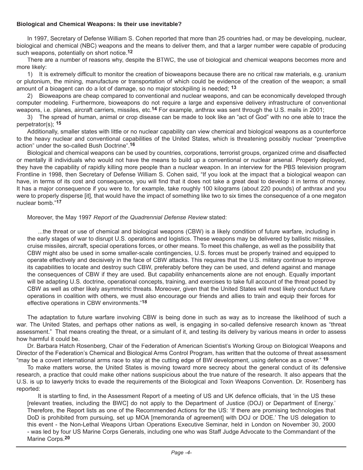#### **Biological and Chemical Weapons: Is their use inevitable?**

In 1997, Secretary of Defense William S. Cohen reported that more than 25 countries had, or may be developing, nuclear, biological and chemical (NBC) weapons and the means to deliver them, and that a larger number were capable of producing such weapons, potentially on short notice.**12**

There are a number of reasons why, despite the BTWC, the use of biological and chemical weapons becomes more and more likely:

1) It is extremely difficult to monitor the creation of bioweapons because there are no critical raw materials, e.g. uranium or plutonium, the mining, manufacture or transportation of which could be evidence of the creation of the weapon; a small amount of a bioagent can do a lot of damage, so no major stockpiling is needed; **13**

2) Bioweapons are cheap compared to conventional and nuclear weapons, and can be economically developed through computer modeling. Furthermore, bioweapons do not require a large and expensive delivery infrastructure of conventional weapons, i.e. planes, aircraft carriers, missiles, etc.**14** For example, anthrax was sent through the U.S. mails in 2001;

3) The spread of human, animal or crop disease can be made to look like an "act of God" with no one able to trace the perpetrator(s); **15**

Additionally, smaller states with little or no nuclear capability can view chemical and biological weapons as a counterforce to the heavy nuclear and conventional capabilities of the United States, which is threatening possibly nuclear "preemptive action" under the so-called Bush Doctrine".**16** 

Biological and chemical weapons can be used by countries, corporations, terrorist groups, organized crime and disaffected or mentally ill individuals who would not have the means to build up a conventional or nuclear arsenal. Properly deployed, they have the capability of rapidly killing more people than a nuclear weapon. In an interview for the PBS television program Frontline in 1998, then Secretary of Defense William S. Cohen said, "If you look at the impact that a biological weapon can have, in terms of its cost and consequence, you will find that it does not take a great deal to develop it in terms of money. It has a major consequence if you were to, for example, take roughly 100 kilograms (about 220 pounds) of anthrax and you were to properly disperse [it], that would have the impact of something like two to six times the consequence of a one megaton nuclear bomb."**17** 

#### Moreover, the May 1997 *Report of the Quadrennial Defense Review* stated:

...the threat or use of chemical and biological weapons (CBW) is a likely condition of future warfare, including in the early stages of war to disrupt U.S. operations and logistics. These weapons may be delivered by ballistic missiles, cruise missiles, aircraft, special operations forces, or other means. To meet this challenge, as well as the possibility that CBW might also be used in some smaller-scale contingencies, U.S. forces must be properly trained and equipped to operate effectively and decisively in the face of CBW attacks. This requires that the U.S. military continue to improve its capabilities to locate and destroy such CBW, preferably before they can be used, and defend against and manage the consequences of CBW if they are used. But capability enhancements alone are not enough. Equally important will be adapting U.S. doctrine, operational concepts, training, and exercises to take full account of the threat posed by CBW as well as other likely asymmetric threats. Moreover, given that the United States will most likely conduct future operations in coalition with others, we must also encourage our friends and allies to train and equip their forces for effective operations in CBW environments."**18**

The adaptation to future warfare involving CBW is being done in such as way as to increase the likelihood of such a war. The United States, and perhaps other nations as well, is engaging in so-called defensive research known as "threat assessment." That means creating the threat, or a simulant of it, and testing its delivery by various means in order to assess how harmful it could be.

Dr. Barbara Hatch Rosenberg, Chair of the Federation of American Scientist's Working Group on Biological Weapons and Director of the Federation's Chemical and Biological Arms Control Program, has written that the outcome of threat assessment "may be a covert international arms race to stay at the cutting edge of BW development, using defence as a cover." **19**

To make matters worse, the United States is moving toward more secrecy about the general conduct of its defensive research, a practice that could make other nations suspicious about the true nature of the research. It also appears that the U.S. is up to lawyerly tricks to evade the requirements of the Biological and Toxin Weapons Convention. Dr. Rosenberg has reported:

It is startling to find, in the Assessment Report of a meeting of US and UK defence officials, that 'in the US these [relevant treaties, including the BWC] do not apply to the Department of Justice (DOJ) or Department of Energy.' Therefore, the Report lists as one of the Recommended Actions for the US: 'If there are promising technologies that DoD is prohibited from pursuing, set up MOA [memoranda of agreement] with DOJ or DOE.' The US delegation to this event - the Non-Lethal Weapons Urban Operations Executive Seminar, held in London on November 30, 2000 - was led by four US Marine Corps Generals, including one who was Staff Judge Advocate to the Commandant of the Marine Corps.**20**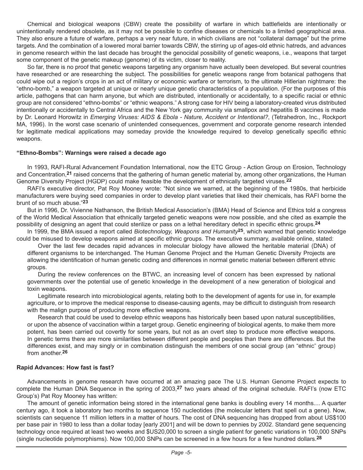Chemical and biological weapons (CBW) create the possibility of warfare in which battlefields are intentionally or unintentionally rendered obsolete, as it may not be possible to confine diseases or chemicals to a limited geographical area. They also ensure a future of warfare, perhaps a very near future, in which civilians are not "collateral damage" but the prime targets. And the combination of a lowered moral barrier towards CBW, the stirring up of ages-old ethnic hatreds, and advances in genome research within the last decade has brought the genocidal possibility of genetic weapons, i.e., weapons that target some component of the genetic makeup (genome) of its victim, closer to reality.

So far, there is no proof that genetic weapons targeting any organism have actually been developed. But several countries have researched or are researching the subject. The possibilities for genetic weapons range from botanical pathogens that could wipe out a region's crops in an act of military or economic warfare or terrorism, to the ultimate Hitlerian nightmare: the "ethno-bomb," a weapon targeted at unique or nearly unique genetic characteristics of a population. (For the purposes of this article, pathogens that can harm anyone, but which are distributed, intentionally or accidentally, to a specific racial or ethnic group are not considered "ethno-bombs" or "ethnic weapons." A strong case for HIV being a laboratory-created virus distributed intentionally or accidentally to Central Africa and the New York gay community via smallpox and hepatitis B vaccines is made by Dr. Leonard Horowitz in *Emerging Viruses: AIDS & Ebola - Nature, Accident or Intentional?*, (Tetrahedron, Inc., Rockport MA, 1996). In the worst case scenario of unintended consequences, government and corporate genome research intended for legitimate medical applications may someday provide the knowledge required to develop genetically specific ethnic weapons.

#### **"Ethno-Bombs": Warnings were raised a decade ago**

In 1993, RAFI-Rural Advancement Foundation International, now the ETC Group - Action Group on Erosion, Technology and Concentration,**21** raised concerns that the gathering of human genetic material by, among other organizations, the Human Genome Diversity Project (HGDP) could make feasible the development of ethnically targeted viruses.**22** 

RAFI's executive director, Pat Roy Mooney wrote: "Not since we warned, at the beginning of the 1980s, that herbicide manufacturers were buying seed companies in order to develop plant varieties that liked their chemicals, has RAFI borne the brunt of so much abuse."**23** 

But in 1996, Dr. Vivienne Nathanson, the British Medical Association's (BMA) Head of Science and Ethics told a congress of the World Medical Association that ethnically targeted genetic weapons were now possible, and she cited as example the possibility of designing an agent that could sterilize or pass on a lethal hereditary defect in specific ethnic groups.**24**

In 1999, the BMA issued a report called *Biotechnology, Weapons and Humanity***25**, which warned that genetic knowledge could be misused to develop weapons aimed at specific ethnic groups. The executive summary, available online, stated:

Over the last few decades rapid advances in molecular biology have allowed the heritable material (DNA) of different organisms to be interchanged. The Human Genome Project and the Human Genetic Diversity Projects are allowing the identification of human genetic coding and differences in normal genetic material between different ethnic groups.

During the review conferences on the BTWC, an increasing level of concern has been expressed by national governments over the potential use of genetic knowledge in the development of a new generation of biological and toxin weapons.

Legitimate research into microbiological agents, relating both to the development of agents for use in, for example agriculture, or to improve the medical response to disease-causing agents, may be difficult to distinguish from research with the malign purpose of producing more effective weapons.

Research that could be used to develop ethnic weapons has historically been based upon natural susceptibilities, or upon the absence of vaccination within a target group. Genetic engineering of biological agents, to make them more potent, has been carried out covertly for some years, but not as an overt step to produce more effective weapons. In genetic terms there are more similarities between different people and peoples than there are differences. But the differences exist, and may singly or in combination distinguish the members of one social group (an "ethnic" group) from another.**26**

#### **Rapid Advances: How fast is fast?**

Advancements in genome research have occurred at an amazing pace The U.S. Human Genome Project expects to complete the Human DNA Sequence in the spring of 2003,**27** two years ahead of the original schedule. RAFI's (now ETC Group's) Pat Roy Mooney has written:

The amount of genetic information being stored in the international gene banks is doubling every 14 months.... A quarter century ago, it took a laboratory two months to sequence 150 nucleotides (the molecular letters that spell out a gene). Now, scientists can sequence 11 million letters in a matter of hours. The cost of DNA sequencing has dropped from about US\$100 per base pair in 1980 to less than a dollar today [early 2001] and will be down to pennies by 2002. Standard gene sequencing technology once required at least two weeks and \$US20,000 to screen a single patient for genetic variations in 100,000 SNPs (single nucleotide polymorphisms). Now 100,000 SNPs can be screened in a few hours for a few hundred dollars.**28**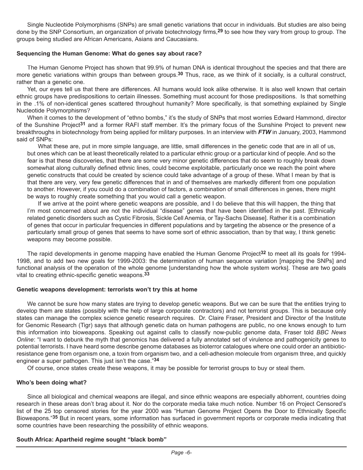Single Nucleotide Polymorphisms (SNPs) are small genetic variations that occur in individuals. But studies are also being done by the SNP Consortium, an organization of private biotechnology firms,**29** to see how they vary from group to group. The groups being studied are African Americans, Asians and Caucasians.

#### **Sequencing the Human Genome: What do genes say about race?**

The Human Genome Project has shown that 99.9% of human DNA is identical throughout the species and that there are more genetic variations within groups than between groups.**30** Thus, race, as we think of it socially, is a cultural construct, rather than a genetic one.

Yet, our eyes tell us that there are differences. All humans would look alike otherwise. It is also well known that certain ethnic groups have predispositions to certain illnesses. Something must account for those predispositions. Is that something in the .1% of non-identical genes scattered throughout humanity? More specifically, is that something explained by Single Nucleotide Polymorphisms?

When it comes to the development of "ethno bombs," it's the study of SNPs that most worries Edward Hammond, director of the Sunshine Project**31** and a former RAFI staff member. It's the primary focus of the Sunshine Project to prevent new breakthroughs in biotechnology from being applied for military purposes. In an interview with *FTW* in January, 2003, Hammond said of SNPs:

What these are, put in more simple language, are little, small differences in the genetic code that are in all of us, but ones which can be at least theoretically related to a particular ethnic group or a particular kind of people. And so the fear is that these discoveries, that there are some very minor genetic differences that do seem to roughly break down somewhat along culturally defined ethnic lines, could become exploitable, particularly once we reach the point where genetic constructs that could be created by science could take advantage of a group of these. What I mean by that is that there are very, very few genetic differences that in and of themselves are markedly different from one population to another. However, if you could do a combination of factors, a combination of small differences in genes, there might be ways to roughly create something that you would call a genetic weapon.

If we arrive at the point where genetic weapons are possible, and I do believe that this will happen, the thing that I'm most concerned about are not the individual "disease" genes that have been identified in the past. [Ethnically related genetic disorders such as Cystic Fibrosis, Sickle Cell Anemia, or Tay-Sachs Disease]. Rather it is a combination of genes that occur in particular frequencies in different populations and by targeting the absence or the presence of a particularly small group of genes that seems to have some sort of ethnic association, than by that way, I think genetic weapons may become possible.

The rapid developments in genome mapping have enabled the Human Genome Project**32** to meet all its goals for 1994- 1998, and to add two new goals for 1999-2003: the determination of human sequence variation [mapping the SNPs] and functional analysis of the operation of the whole genome [understanding how the whole system works]. These are two goals vital to creating ethnic-specific genetic weapons.**33** 

#### **Genetic weapons development: terrorists won't try this at home**

We cannot be sure how many states are trying to develop genetic weapons. But we can be sure that the entities trying to develop them are states (possibly with the help of large corporate contractors) and not terrorist groups. This is because only states can manage the complex science genetic research requires. Dr. Claire Fraser, President and Director of the Institute for Genomic Research (Tigr) says that although genetic data on human pathogens are public, no one knows enough to turn this information into bioweapons. Speaking out against calls to classify now-public genome data, Fraser told *BBC News Online*: "I want to debunk the myth that genomics has delivered a fully annotated set of virulence and pathogenicity genes to potential terrorists. I have heard some describe genome databases as bioterror catalogues where one could order an antibioticresistance gene from organism one, a toxin from organism two, and a cell-adhesion molecule from organism three, and quickly engineer a super pathogen. This just isn't the case."**34**

Of course, once states create these weapons, it may be possible for terrorist groups to buy or steal them.

#### **Who's been doing what?**

Since all biological and chemical weapons are illegal, and since ethnic weapons are especially abhorrent, countries doing research in these areas don't brag about it. Nor do the corporate media take much notice. Number 16 on Project Censored's list of the 25 top censored stories for the year 2000 was "Human Genome Project Opens the Door to Ethnically Specific Bioweapons."**35** But in recent years, some information has surfaced in government reports or corporate media indicating that some countries have been researching the possibility of ethnic weapons.

#### **South Africa: Apartheid regime sought "black bomb"**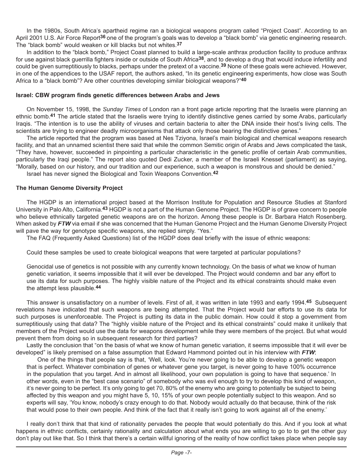In the 1980s, South Africa's apartheid regime ran a biological weapons program called "Project Coast". According to an April 2001 U.S. Air Force Report**36** one of the program's goals was to develop a "black bomb" via genetic engineering research. The "black bomb" would weaken or kill blacks but not whites.**37**

In addition to the "black bomb," Project Coast planned to build a large-scale anthrax production facility to produce anthrax for use against black guerrilla fighters inside or outside of South Africa**38**, and to develop a drug that would induce infertility and could be given surreptitiously to blacks, perhaps under the pretext of a vaccine.**39** None of these goals were achieved. However, in one of the appendices to the USAF report, the authors asked, "In its genetic engineering experiments, how close was South Africa to a "black bomb"? Are other countries developing similar biological weapons?"**40**

#### **Israel: CBW program finds genetic differences between Arabs and Jews**

On November 15, 1998, the *Sunday Times* of London ran a front page article reporting that the Israelis were planning an ethnic bomb.**41** The article stated that the Israelis were trying to identify distinctive genes carried by some Arabs, particularly Iraqis. "The intention is to use the ability of viruses and certain bacteria to alter the DNA inside their host's living cells. The scientists are trying to engineer deadly microorganisms that attack only those bearing the distinctive genes."

The article reported that the program was based at Nes Tziyona, Israel's main biological and chemical weapons research facility, and that an unnamed scientist there said that while the common Semitic origin of Arabs and Jews complicated the task, "They have, however, succeeded in pinpointing a particular characteristic in the genetic profile of certain Arab communities, particularly the Iraqi people." The report also quoted Dedi Zucker, a member of the Israeli Knesset (parliament) as saying, "Morally, based on our history, and our tradition and our experience, such a weapon is monstrous and should be denied."

Israel has never signed the Biological and Toxin Weapons Convention.**42**

#### **The Human Genome Diversity Project**

The HGDP is an international project based at the Morrison Institute for Population and Resource Studies at Stanford University in Palo Alto, California.**43** HGDP is not a part of the Human Genome Project. The HGDP is of grave concern to people who believe ethnically targeted genetic weapons are on the horizon. Among these people is Dr. Barbara Hatch Rosenberg. When asked by **FTW** via email if she was concerned that the Human Genome Project and the Human Genome Diversity Project will pave the way for genotype specific weapons, she replied simply. "Yes."

The FAQ (Frequently Asked Questions) list of the HGDP does deal briefly with the issue of ethnic weapons:

Could these samples be used to create biological weapons that were targeted at particular populations?

Genocidal use of genetics is not possible with any currently known technology. On the basis of what we know of human genetic variation, it seems impossible that it will ever be developed. The Project would condemn and bar any effort to use its data for such purposes. The highly visible nature of the Project and its ethical constraints should make even the attempt less plausible.**44** 

This answer is unsatisfactory on a number of levels. First of all, it was written in late 1993 and early 1994.**45** Subsequent revelations have indicated that such weapons are being attempted. That the Project would bar efforts to use its data for such purposes is unenforceable. The Project is putting its data in the public domain. How could it stop a government from surreptitiously using that data? The "highly visible nature of the Project and its ethical constraints" could make it unlikely that members of the Project would use the data for weapons development while they were members of the project. But what would prevent them from doing so in subsequent research for third parties?

Lastly the conclusion that "on the basis of what we know of human genetic variation, it seems impossible that it will ever be developed" is likely premised on a false assumption that Edward Hammond pointed out in his interview with *FTW*:

One of the things that people say is that, 'Well, look. You're never going to be able to develop a genetic weapon that is perfect. Whatever combination of genes or whatever gene you target, is never going to have 100% occurrence in the population that you target. And in almost all likelihood, your own population is going to have that sequence.' In other words, even in the "best case scenario" of somebody who was evil enough to try to develop this kind of weapon, it's never going to be perfect. It's only going to get 70, 80% of the enemy who are going to potentially be subject to being affected by this weapon and you might have 5, 10, 15% of your own people potentially subject to this weapon. And so experts will say, 'You know, nobody's crazy enough to do that. Nobody would actually do that because, think of the risk that would pose to their own people. And think of the fact that it really isn't going to work against all of the enemy.'

I really don't think that that kind of rationality pervades the people that would potentially do this. And if you look at what happens in ethnic conflicts, certainly rationality and calculation about what ends you are willing to go to to get the other guy don't play out like that. So I think that there's a certain willful ignoring of the reality of how conflict takes place when people say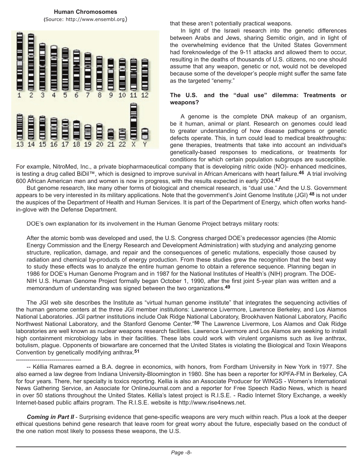**Human Chromosomes (**Source: http://www.ensembl.org)



---------------------------------

that these aren't potentially practical weapons.

In light of the Israeli research into the genetic differences between Arabs and Jews, sharing Semitic origin, and in light of the overwhelming evidence that the United States Government had foreknowledge of the 9-11 attacks and allowed them to occur, resulting in the deaths of thousands of U.S. citizens, no one should assume that any weapon, genetic or not, would not be developed because some of the developer's people might suffer the same fate as the targeted "enemy."

#### **The U.S. and the "dual use" dilemma: Treatments or weapons?**

A genome is the complete DNA makeup of an organism, be it human, animal or plant. Research on genomes could lead to greater understanding of how disease pathogens or genetic defects operate. This, in turn could lead to medical breakthroughs: gene therapies, treatments that take into account an individual's genetically-based responses to medications, or treatments for conditions for which certain population subgroups are susceptible.

For example, NitroMed, Inc., a private biopharmaceutical company that is developing nitric oxide (NO)- enhanced medicines, is testing a drug called BiDil™, which is designed to improve survival in African Americans with heart failure.**46** A trial involving 600 African American men and women is now in progress, with the results expected in early 2004.**47**

But genome research, like many other forms of biological and chemical research, is "dual use." And the U.S. Government appears to be very interested in its military applications. Note that the government's Joint Genome Institute (JGI) **48** is not under the auspices of the Department of Health and Human Services. It is part of the Department of Energy, which often works handin-glove with the Defense Department.

DOE's own explanation for its involvement in the Human Genome Project betrays military roots:

After the atomic bomb was developed and used, the U.S. Congress charged DOE's predecessor agencies (the Atomic Energy Commission and the Energy Research and Development Administration) with studying and analyzing genome structure, replication, damage, and repair and the consequences of genetic mutations, especially those caused by radiation and chemical by-products of energy production. From these studies grew the recognition that the best way to study these effects was to analyze the entire human genome to obtain a reference sequence. Planning began in 1986 for DOE's Human Genome Program and in 1987 for the National Institutes of Health's (NIH) program. The DOE-NIH U.S. Human Genome Project formally began October 1, 1990, after the first joint 5-year plan was written and a memorandum of understanding was signed between the two organizations.**49**

The JGI web site describes the Institute as "virtual human genome institute" that integrates the sequencing activities of the human genome centers at the three JGI member institutions: Lawrence Livermore, Lawrence Berkeley, and Los Alamos National Laboratories. JGI partner institutions include Oak Ridge National Laboratory, Brookhaven National Laboratory, Pacific Northwest National Laboratory, and the Stanford Genome Center."**50** The Lawrence Livermore, Los Alamos and Oak Ridge laboratories are well known as nuclear weapons research facilities. Lawrence Livermore and Los Alamos are seeking to install high containment microbiology labs in their facilities. These labs could work with virulent organisms such as live anthrax, botulism, plague. Opponents of biowarfare are concerned that the United States is violating the Biological and Toxin Weapons Convention by genetically modifying anthrax.**51**

<sup>--</sup> Kéllia Ramares earned a B.A. degree in economics, with honors, from Fordham University in New York in 1977. She also earned a law degree from Indiana University-Bloomington in 1980. She has been a reporter for KPFA-FM in Berkeley, CA for four years. There, her specialty is toxics reporting. Kellia is also an Associate Producer for WINGS - Women's International News Gathering Service, an Associate for OnlineJournal.com and a reporter for Free Speech Radio News, which is heard in over 50 stations throughout the United States. Kéllia's latest project is R.I.S.E. - Radio Internet Story Exchange, a weekly Internet-based public affairs program. The R.I.S.E. website is http://www.rise4news.net.

**Coming in Part II** - Surprising evidence that gene-specific weapons are very much within reach. Plus a look at the deeper ethical questions behind gene research that leave room for great worry about the future, especially based on the conduct of the one nation most likely to possess these weapons, the U.S.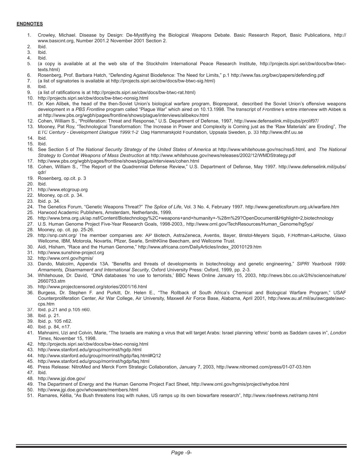#### **ENDNOTES**

- 1. Crowley, Michael. Disease by Design: De-Mystifiying the Biological Weapons Debate. Basic Research Report, Basic Publications, http:// www.basicint.org, Number 2001.2 November 2001 Section 2.
- 2. Ibid.<br>3. Ibid.
- 3. Ibid.
- 4. Ibid.
- 5. (a copy is available at at the web site of the Stockholm International Peace Research Institute, http://projects.sipri.se/cbw/docs/bw-btwctexts.html)
- 6. Rosenberg, Prof. Barbara Hatch, "Defending Against Biodefence: The Need for Limits," p.1 http://www.fas.org/bwc/papers/defending.pdf
- 7. (a list of signatories is available at http://projects.sipri.se/cbw/docs/bw-btwc-sig.html)
- 8. Ibid.
- 9. (a list of ratifications is at http://projects.sipri.se/cbw/docs/bw-btwc-rat.html)<br>10. http://projects.sipri.se/cbw/docs/bw-btwc-nonsig.html
- http://projects.sipri.se/cbw/docs/bw-btwc-nonsig.html
- 11. Dr. Ken Alibek, the head of the then-Soviet Union's biological warfare program, Biopreparat, described the Soviet Union's offensive weapons development in a *PBS Frontline* program called "Plague War" which aired on 10.13.1998. The transcript of *Frontline*'s entire interview with Alibek is at http://www.pbs.org/wgbh/pages/frontline/shows/plague/interviews/alibekov.html
- 12. Cohen, William S., "Proliferation: Threat and Response," U.S. Department of Defense, 1997, http://www.defenselink.mil/pubs/prolif97/
- 13. Mooney, Pat Roy, "Technological Transformation: The Increase in Power and Complexity is Coming just as the 'Raw Materials' are Eroding", *The ETC Century - Development Dialogue 1999:1-2* Dag Hammarskjold Foundation, Uppsala Sweden, p. 33 http://www.dhf.uu.se
- 14. Ibid.
- 15. Ibid.
- 16. See Section 5 of *The National Security Strategy of the United States of America* at http://www.whitehouse.gov/nsc/nss5.html, and *The National Strategy to Combat Weapons of Mass Destruction* at http://www.whitehouse.gov/news/releases/2002/12/WMDStrategy.pdf
- 17. http://www.pbs.org/wgbh/pages/frontline/shows/plague/interviews/cohen.html
- 18. Cohen, William S., "The Report of the Quadrennial Defense Review," U.S. Department of Defense, May 1997. http://www.defenselink.mil/pubs/ qdr/
- 19. Rosenberg, op.cit. p. 3
- 20. Ibid.
- 21. http://www.etcgroup.org
- 22. Mooney, op.cit. p. 34.
- 23. Ibid. p. 34.
- 24. The Genetics Forum, "Genetic Weapons Threat?" *The Splice of Life*, Vol. 3 No. 4, February 1997. http://www.geneticsforum.org.uk/warfare.htm
- 25. Harwood Academic Publishers, Amsterdam, Netherlands, 1999.
- 26. http://www.bma.org.uk/ap.nsf/Content/Biotechnology%2C+weapons+and+humanity+-%28m%29?OpenDocument&Highlight=2,biotechnology
- 27. U.S. Human Genome Project Five-Year Research Goals, 1998-2003,. http://www.ornl.gov/TechResources/Human\_Genome/hg5yp/
- 28. Mooney, op. cit. pp. 25-26.
- 29. http://snp.cshl.org/ The member companies are: AP Biotech, AstraZeneca, Aventis, Bayer, Bristol-Meyers Squib, F.Hoffman-LaRoche, Glaxo Wellcome, IBM, Motorola, Novartis, Pfizer, Searle, SmithKline Beecham, and Wellcome Trust.
- 30. Aidi, Hisham, "Race and the Human Genome," http://www.africana.com/DailyArticles/index\_20010129.htm
- 31. http://www.sunshine-project.org
- 32. http://www.ornl.gov/hgmis/
- 33. Dando, Malcolm, Appendix 13A. "Benefits and threats of developments in biotechnology and genetic engineering," *SIPRI Yearbook 1999: Armaments, Disarmament and International Security*, Oxford University Press: Oxford, 1999, pp. 2-3.
- 34. Whitehouse, Dr. David, "DNA databases 'no use to terrorists,' BBC News Online January 15, 2003, http://news.bbc.co.uk/2/hi/science/nature/ 2660753.stm
- 35. http://www.projectcensored.org/stories/2001/16.html
- 36. Burgess, Dr. Stephen F. and Purkitt, Dr. Helen E., "The Rollback of South Africa's Chemical and Biological Warfare Program," USAF Counterproliferation Center, Air War College, Air University, Maxwell Air Force Base, Alabama, April 2001, http://www.au.af.mil/au/awcgate/awccps.htm
- 37. Ibid. p.21 and p.105 n60.
- 38. Ibid. p. 21.
- 39. Ibid. p. 105 n62.
- 40. Ibid. p. 84, n17.
- 41. Mahnaimi, Uzi and Colvin, Marie, "The Israelis are making a virus that will target Arabs: Israel planning 'ethnic' bomb as Saddam caves in", *London Times*, November 15, 1998.
- 42. http://projects.sipri.se/cbw/docs/bw-btwc-nonsig.html
- 43. http://www.stanford.edu/group/morrinst/hgdp.html
- 44. http://www.stanford.edu/group/morrinst/hgdp/faq.html#Q12
- 45. http://www.stanford.edu/group/morrinst/hgdp/faq.html
- 46. Press Release: NitroMed and Merck Form Strategic Collaboration, January 7, 2003, http://www.nitromed.com/press/01-07-03.htm
- 47. Ibid.
- 48. http://www.jgi.doe.gov/
- 49. The Department of Energy and the Human Genome Project Fact Sheet, http://www.ornl.gov/hgmis/project/whydoe.html
- 50. http://www.jgi.doe.gov/whoweare/members.html
- 51. Ramares, Kéllia, "As Bush threatens Iraq with nukes, US ramps up its own biowarfare research", http://www.rise4news.net/ramp.html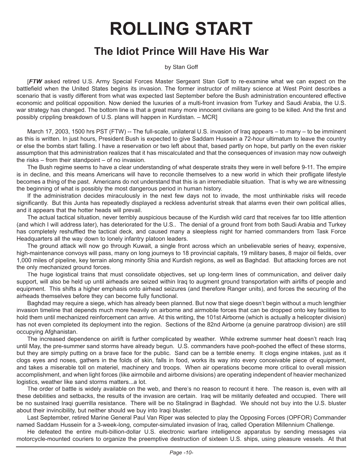## **ROLLING START**

## **The Idiot Prince Will Have His War**

by Stan Goff

[*FTW* asked retired U.S. Army Special Forces Master Sergeant Stan Goff to re-examine what we can expect on the battlefield when the United States begins its invasion. The former instructor of military science at West Point describes a scenario that is vastly different from what was expected last September before the Bush administration encountered effective economic and political opposition. Now denied the luxuries of a multi-front invasion from Turkey and Saudi Arabia, the U.S. war strategy has changed. The bottom line is that a great many more innocent civilians are going to be killed. And the first and possibly crippling breakdown of U.S. plans will happen in Kurdistan. – MCR]

March 17, 2003, 1500 hrs PST (FTW) -- The full-scale, unilateral U.S. invasion of Iraq appears – to many – to be imminent as this is written. In just hours, President Bush is expected to give Saddam Hussein a 72-hour ultimatum to leave the country or else the bombs start falling. I have a reservation or two left about that, based partly on hope, but partly on the even riskier assumption that this administration realizes that it has miscalculated and that the consequences of invasion may now outweigh the risks – from their standpoint – of no invasion.

The Bush regime seems to have a clear understanding of what desperate straits they were in well before 9-11. The empire is in decline, and this means Americans will have to reconcile themselves to a new world in which their profligate lifestyle becomes a thing of the past. Americans do not understand that this is an irremediable situation. That is why we are witnessing the beginning of what is possibly the most dangerous period in human history.

If the administration decides miraculously in the next few days not to invade, the most unthinkable risks will recede significantly. But this Junta has repeatedly displayed a reckless adventurist streak that alarms even their own political allies, and it appears that the hotter heads will prevail.

The actual tactical situation, never terribly auspicious because of the Kurdish wild card that receives far too little attention (and which I will address later), has deteriorated for the U.S.. The denial of a ground front from both Saudi Arabia and Turkey has completely reshuffled the tactical deck, and caused many a sleepless night for harried commanders from Task Force Headquarters all the way down to lonely infantry platoon leaders.

The ground attack will now go through Kuwait, a single front across which an unbelievable series of heavy, expensive, high-maintenance convoys will pass, many on long journeys to 18 provincial capitals, 19 military bases, 8 major oil fields, over 1,000 miles of pipeline, key terrain along minority Shia and Kurdish regions, as well as Baghdad. But attacking forces are not the only mechanized ground forces.

The huge logistical trains that must consolidate objectives, set up long-term lines of communication, and deliver daily support, will also be held up until airheads are seized within Iraq to augment ground transportation with airlifts of people and equipment. This shifts a higher emphasis onto airhead seizures (and therefore Ranger units), and forces the securing of the airheads themselves before they can become fully functional.

Baghdad may require a siege, which has already been planned. But now that siege doesn't begin without a much lengthier invasion timeline that depends much more heavily on airborne and airmobile forces that can be dropped onto key facilities to hold them until mechanized reinforcement can arrive. At this writing, the 101st Airborne (which is actually a helicopter division) has not even completed its deployment into the region. Sections of the 82nd Airborne (a genuine paratroop division) are still occupying Afghanistan.

The increased dependence on airlift is further complicated by weather. While extreme summer heat doesn't reach Iraq until May, the pre-summer sand storms have already begun. U.S. commanders have pooh-poohed the effect of these storms, but they are simply putting on a brave face for the public. Sand can be a terrible enemy. It clogs engine intakes, just as it clogs eyes and noses, gathers in the folds of skin, falls in food, works its way into every conceivable piece of equipment, and takes a miserable toll on materiel, machinery and troops. When air operations become more critical to overall mission accomplishment, and when light forces (like airmobile and airborne divisions) are operating independent of heavier mechanized logistics, weather like sand storms matters...a lot.

The order of battle is widely available on the web, and there's no reason to recount it here. The reason is, even with all these debilities and setbacks, the results of the invasion are certain. Iraq will be militarily defeated and occupied. There will be no sustained Iraqi guerrilla resistance. There will be no Stalingrad in Baghdad. We should not buy into the U.S. bluster about their invincibility, but neither should we buy into Iraqi bluster.

Last September, retired Marine General Paul Van Riper was selected to play the Opposing Forces (OPFOR) Commander named Saddam Hussein for a 3-week-long, computer-simulated invasion of Iraq, called Operation Millennium Challenge.

He defeated the entire multi-billion-dollar U.S. electronic warfare intelligence apparatus by sending messages via motorcycle-mounted couriers to organize the preemptive destruction of sixteen U.S. ships, using pleasure vessels. At that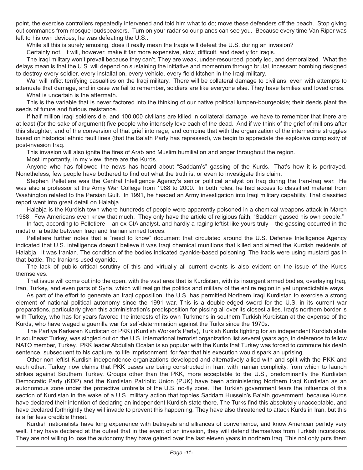point, the exercise controllers repeatedly intervened and told him what to do; move these defenders off the beach. Stop giving out commands from mosque loudspeakers. Turn on your radar so our planes can see you. Because every time Van Riper was left to his own devices, he was defeating the U.S..

While all this is surely amusing, does it really mean the Iraqis will defeat the U.S. during an invasion?

Certainly not. It will, however, make it far more expensive, slow, difficult, and deadly for Iraqis.

The Iraqi military won't prevail because they can't. They are weak, under-resourced, poorly led, and demoralized. What the delays mean is that the U.S. will depend on sustaining the initiative and momentum through brutal, incessant bombing designed to destroy every soldier, every installation, every vehicle, every field kitchen in the Iraqi military.

War will inflict terrifying casualties on the Iraqi military. There will be collateral damage to civilians, even with attempts to attenuate that damage, and in case we fail to remember, soldiers are like everyone else. They have families and loved ones. What is uncertain is the aftermath.

This is the variable that is never factored into the thinking of our native political lumpen-bourgeoisie; their deeds plant the seeds of future and furious resistance.

If half million Iraqi soldiers die, and 100,000 civilians are killed in collateral damage, we have to remember that there are at least (for the sake of argument) five people who intensely love each of the dead. And if we think of the grief of millions after this slaughter, and of the conversion of that grief into rage, and combine that with the organization of the internecine struggles based on historical ethnic fault lines (that the Ba'ath Party has repressed), we begin to appreciate the explosive complexity of post-invasion Iraq.

This invasion will also ignite the fires of Arab and Muslim humiliation and anger throughout the region.

Most importantly, in my view, there are the Kurds.

Anyone who has followed the news has heard about "Saddam's" gassing of the Kurds. That's how it is portrayed. Nonetheless, few people have bothered to find out what the truth is, or even to investigate this claim.

Stephen Pelletiere was the Central Intelligence Agency's senior political analyst on Iraq during the Iran-Iraq war. He was also a professor at the Army War College from 1988 to 2000. In both roles, he had access to classified material from Washington related to the Persian Gulf. In 1991, he headed an Army investigation into Iraqi military capability. That classified report went into great detail on Halabja.

Halabja is the Kurdish town where hundreds of people were apparently poisoned in a chemical weapons attack in March 1988. Few Americans even knew that much. They only have the article of religious faith, "Saddam gassed his own people."

In fact, according to Pelletiere – an ex-CIA analyst, and hardly a raging leftist like yours truly – the gassing occurred in the midst of a battle between Iraqi and Iranian armed forces.

Pelletiere further notes that a "need to know" document that circulated around the U.S. Defense Intelligence Agency indicated that U.S. intelligence doesn't believe it was Iraqi chemical munitions that killed and aimed the Kurdish residents of Halabja. It was Iranian. The condition of the bodies indicated cyanide-based poisoning. The Iraqis were using mustard gas in that battle. The Iranians used cyanide.

The lack of public critical scrutiny of this and virtually all current events is also evident on the issue of the Kurds themselves.

That issue will come out into the open, with the vast area that is Kurdistan, with its insurgent armed bodies, overlaying Iraq, Iran, Turkey, and even parts of Syria, which will realign the politics and military of the entire region in yet unpredictable ways.

As part of the effort to generate an Iraqi opposition, the U.S. has permitted Northern Iraqi Kurdistan to exercise a strong element of national political autonomy since the 1991 war. This is a double-edged sword for the U.S. in its current war preparations, particularly given this administration's predisposition for pissing all over its closest allies. Iraq's northern border is with Turkey, who has for years favored the interests of its own Turkmens in southern Turkish Kurdistan at the expense of the Kurds, who have waged a guerrilla war for self-determination against the Turks since the 1970s.

The Partiya Karkeren Kurdistan or PKK) (Kurdish Worker's Party), Turkish Kurds fighting for an independent Kurdish state in southeast Turkey, was singled out on the U.S. international terrorist organization list several years ago, in deference to fellow NATO member, Turkey. PKK leader Abdullah Ocalan is so popular with the Kurds that Turkey was forced to commute his death sentence, subsequent to his capture, to life imprisonment, for fear that his execution would spark an uprising.

Other non-leftist Kurdish independence organizations developed and alternatively allied with and split with the PKK and each other. Turkey now claims that PKK bases are being constructed in Iran, with Iranian complicity, from which to launch strikes against Southern Turkey. Groups other than the PKK, more acceptable to the U.S., predominantly the Kurdistan Democratic Party (KDP) and the Kurdistan Patriotic Union (PUK) have been administering Northern Iraqi Kurdistan as an autonomous zone under the protective umbrella of the U.S. no-fly zone. The Turkish government fears the influence of this section of Kurdistan in the wake of a U.S. military action that topples Saddam Hussein's Ba'ath government, because Kurds have declared their intention of declaring an independent Kurdish state there. The Turks find this absolutely unacceptable, and have declared forthrightly they will invade to prevent this happening. They have also threatened to attack Kurds in Iran, but this is a far less credible threat.

Kurdish nationalists have long experience with betrayals and alliances of convenience, and know American perfidy very well. They have declared at the outset that in the event of an invasion, they will defend themselves from Turkish incursions. They are not willing to lose the autonomy they have gained over the last eleven years in northern Iraq. This not only puts them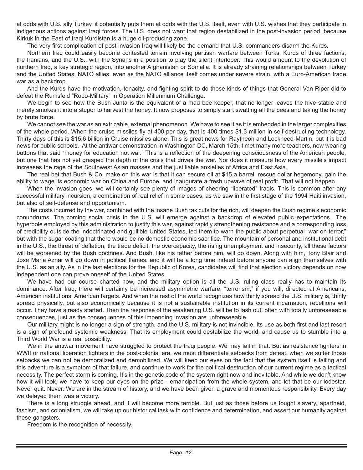at odds with U.S. ally Turkey, it potentially puts them at odds with the U.S. itself, even with U.S. wishes that they participate in indigenous actions against Iraqi forces. The U.S. does not want that region destabilized in the post-invasion period, because Kirkuk in the East of Iraqi Kurdistan is a huge oil-producing zone.

The very first complication of post-invasion Iraq will likely be the demand that U.S. commanders disarm the Kurds.

Northern Iraq could easily become contested terrain involving partisan warfare between Turks, Kurds of three factions, the Iranians, and the U.S., with the Syrians in a position to play the silent interloper. This would amount to the devolution of northern Iraq, a key strategic region, into another Afghanistan or Somalia. It is already straining relationships between Turkey and the United States, NATO allies, even as the NATO alliance itself comes under severe strain, with a Euro-American trade war as a backdrop.

And the Kurds have the motivation, tenacity, and fighting spirit to do those kinds of things that General Van Riper did to defeat the Rumsfeld "Robo-Military" in Operation Millennium Challenge.

We begin to see how the Bush Junta is the equivalent of a mad bee keeper, that no longer leaves the hive stable and merely smokes it into a stupor to harvest the honey. It now proposes to simply start swatting all the bees and taking the honey by brute force.

We cannot see the war as an extricable, external phenomenon. We have to see it as it is embedded in the larger complexities of the whole period. When the cruise missiles fly at 400 per day, that is 400 times \$1.3 million in self-destructing technology. Thirty days of this is \$15.6 billion in Cruise missiles alone. This is great news for Raytheon and Lockheed-Martin, but it is bad news for public schools. At the antiwar demonstration in Washington DC, March 15th, I met many more teachers, now wearing buttons that said "money for education not war." This is a reflection of the deepening consciousness of the American people, but one that has not yet grasped the depth of the crisis that drives the war. Nor does it measure how every missile's impact increases the rage of the Southwest Asian masses and the justifiable anxieties of Africa and East Asia.

The real bet that Bush & Co. make on this war is that it can secure oil at \$15 a barrel, rescue dollar hegemony, gain the ability to wage its economic war on China and Europe, and inaugurate a fresh upwave of real profit. That will not happen.

When the invasion goes, we will certainly see plenty of images of cheering "liberated" Iraqis. This is common after any successful military incursion, a combination of real relief in some cases, as we saw in the first stage of the 1994 Haiti invasion, but also of self-defense and opportunism.

The costs incurred by the war, combined with the insane Bush tax cuts for the rich, will deepen the Bush regime's economic conundrums. The coming social crisis in the U.S. will emerge against a backdrop of elevated public expectations. The hyperbole employed by this administration to justify this war, against rapidly strengthening resistance and a corresponding loss of credibility outside the indoctrinated and gullible United States, led them to warn the public about perpetual "war on terror," but with the sugar coating that there would be no domestic economic sacrifice. The mountain of personal and institutional debt in the U.S., the threat of deflation, the trade deficit, the overcapacity, the rising unemployment and insecurity, all these factors will be worsened by the Bush doctrines. And Bush, like his father before him, will go down. Along with him, Tony Blair and Jose Maria Aznar will go down in political flames, and it will be a long time indeed before anyone can align themselves with the U.S. as an ally. As in the last elections for the Republic of Korea, candidates will find that election victory depends on now independent one can prove oneself of the United States.

We have had our course charted now, and the military option is all the U.S. ruling class really has to maintain its dominance. After Iraq, there will certainly be increased asymmetric warfare, "terrorism," if you will, directed at Americans, American institutions, American targets. And when the rest of the world recognizes how thinly spread the U.S. military is, thinly spread physically, but also economically because it is not a sustainable institution in its current incarnation, rebellions will occur. They have already started. Then the response of the weakening U.S. will be to lash out, often with totally unforeseeable consequences, just as the consequences of this impending invasion are unforeseeable.

Our military might is no longer a sign of strength, and the U.S. military is not invincible. Its use as both first and last resort is a sign of profound systemic weakness. That its employment could destabilize the world, and cause us to stumble into a Third World War is a real possibility.

We in the antiwar movement have struggled to protect the Iraqi people. We may fail in that. But as resistance fighters in WWII or national liberation fighters in the post-colonial era, we must differentiate setbacks from defeat, when we suffer those setbacks we can not be demoralized and demobilized. We will keep our eyes on the fact that the system itself is failing and this adventure is a symptom of that failure, and continue to work for the political destruction of our current regime as a tactical necessity. The perfect storm is coming. It's in the genetic code of the system right now and inevitable. And while we don't know how it will look, we have to keep our eyes on the prize - emancipation from the whole system, and let that be our lodestar. Never quit. Never. We are in the stream of history, and we have been given a grave and momentous responsibility. Every day we delayed them was a victory.

There is a long struggle ahead, and it will become more terrible. But just as those before us fought slavery, apartheid, fascism, and colonialism, we will take up our historical task with confidence and determination, and assert our humanity against these gangsters.

Freedom is the recognition of necessity.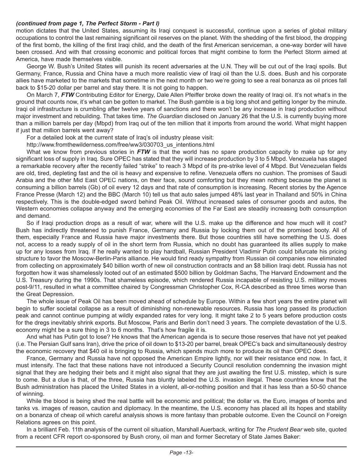#### *(continued from page 1, The Perfect Storm - Part I)*

motion dictates that the United States, assuming its Iraqi conquest is successful, continue upon a series of global military occupations to control the last remaining significant oil reserves on the planet. With the shedding of the first blood, the dropping of the first bomb, the killing of the first Iraqi child, and the death of the first American serviceman, a one-way border will have been crossed. And with that crossing economic and political forces that might combine to form the Perfect Storm aimed at America, have made themselves visible.

George W. Bush's United States will punish its recent adversaries at the U.N. They will be cut out of the Iraqi spoils. But Germany, France, Russia and China have a much more realistic view of Iraqi oil than the U.S. does. Bush and his corporate allies have marketed to the markets that sometime in the next month or two we're going to see a real bonanza as oil prices fall back to \$15-20 dollar per barrel and stay there. It is not going to happen.

On March 7, *FTW* Contributing Editor for Energy, Dale Allen Pfeiffer broke down the reality of Iraqi oil. It's not what's in the ground that counts now, it's what can be gotten to market. The Bush gamble is a big long shot and getting longer by the minute. Iraqi oil infrastructure is crumbling after twelve years of sanctions and there won't be any increase in Iraqi production without major investment and rebuilding. That takes time. *The Guardian* disclosed on January 26 that the U.S. is currently buying more than a million barrels per day (Mbpd) from Iraq out of the ten million that it imports from around the world. What might happen if just that million barrels went away?

For a detailed look at the current state of Iraq's oil industry please visit:

http://www.fromthewilderness.com/free/ww3/030703\_us\_intentions.html

What we know from previous stories in *FTW* is that the world has no spare production capacity to make up for any significant loss of supply in Iraq. Sure OPEC has stated that they will increase production by 3 to 5 Mbpd. Venezuela has staged a remarkable recovery after the recently failed "strike" to reach 3 Mbpd of its pre-strike level of 4 Mbpd. But Venezuelan fields are old, tired, depleting fast and the oil is heavy and expensive to refine. Venezuela offers no cushion. The promises of Saudi Arabia and the other Mid East OPEC nations, on their face, sound comforting but they mean nothing because the planet is consuming a billion barrels (Gb) of oil every 12 days and that rate of consumption is increasing. Recent stories by the Agence France Presse (March 12) and the BBC (March 10) tell us that auto sales jumped 48% last year in Thailand and 50% in China respectively. This is the double-edged sword behind Peak Oil. Without increased sales of consumer goods and autos, the Western economies collapse anyway and the emerging economies of the Far East are steadily increasing both consumption and demand.

So if Iraqi production drops as a result of war, where will the U.S. make up the difference and how much will it cost? Bush has indirectly threatened to punish France, Germany and Russia by locking them out of the promised booty. All of them, especially France and Russia have major investments there. But those countries still have something the U.S. does not, access to a ready supply of oil in the short term from Russia, which no doubt has guaranteed its allies supply to make up for any losses from Iraq. If he really wanted to play hardball, Russian President Vladimir Putin could bifurcate his pricing structure to favor the Moscow-Berlin-Paris alliance. He would find ready sympathy from Russian oil companies now eliminated from collecting on approximately \$40 billion worth of new oil construction contracts and an \$8 billion Iraqi debt. Russia has not forgotten how it was shamelessly looted out of an estimated \$500 billion by Goldman Sachs, The Harvard Endowment and the U.S. Treasury during the 1990s. That shameless episode, which rendered Russia incapable of resisting U.S. military moves post-9/11, resulted in what a committee chaired by Congressman Christopher Cox, R-CA described as three times worse than the Great Depression.

The whole issue of Peak Oil has been moved ahead of schedule by Europe. Within a few short years the entire planet will begin to suffer societal collapse as a result of diminishing non-renewable resources. Russia has long passed its production peak and cannot continue pumping at wildly expanded rates for very long. It might take 2 to 5 years before production costs for the dregs inevitably shrink exports. But Moscow, Paris and Berlin don't need 3 years. The complete devastation of the U.S. economy might be a sure thing in 3 to 6 months. That's how fragile it is.

And what has Putin got to lose? He knows that the American agenda is to secure those reserves that have not yet peaked (i.e. The Persian Gulf sans Iran), drive the price of oil down to \$13-20 per barrel, break OPEC's back and simultaneously destroy the economic recovery that \$40 oil is bringing to Russia, which spends much more to produce its oil than OPEC does.

France, Germany and Russia have not opposed the American Empire lightly, nor will their resistance end now. In fact, it must intensify. The fact that these nations have not introduced a Security Council resolution condemning the invasion might signal that they are hedging their bets and it might also signal that they are just awaiting the first U.S. misstep, which is sure to come. But a clue is that, of the three, Russia has bluntly labeled the U.S. invasion illegal. These countries know that the Bush administration has placed the United States in a violent, all-or-nothing position and that it has less than a 50-50 chance of winning.

While the blood is being shed the real battle will be economic and political; the dollar vs. the Euro, images of bombs and tanks vs. images of reason, caution and diplomacy. In the meantime, the U.S. economy has placed all its hopes and stability on a bonanza of cheap oil which careful analysis shows is more fantasy than probable outcome. Even the Council on Foreign Relations agrees on this point.

In a brilliant Feb. 11th analysis of the current oil situation, Marshall Auerback, writing for *The Prudent Bear* web site, quoted from a recent CFR report co-sponsored by Bush crony, oil man and former Secretary of State James Baker: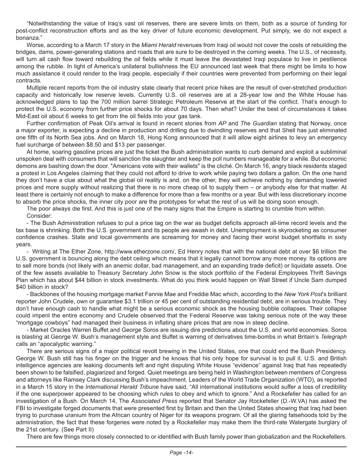"Notwithstanding the value of Iraq's vast oil reserves, there are severe limits on them, both as a source of funding for post-conflict reconstruction efforts and as the key driver of future economic development. Put simply, we do not expect a bonanza."

Worse, according to a March 17 story in the *Miami Herald* revenues from Iraqi oil would not cover the costs of rebuilding the bridges, dams, power-generating stations and roads that are sure to be destroyed in the coming weeks. The U.S., of necessity, will turn all cash flow toward rebuilding the oil fields while it must leave the devastated Iraqi populace to live in pestilence among the rubble. In light of America's unilateral bullishness the EU announced last week that there might be limits to how much assistance it could render to the Iraqi people, especially if their countries were prevented from performing on their legal contracts.

Multiple recent reports from the oil industry state clearly that recent price hikes are the result of over-stretched production capacity and historically low reserve levels. Currently U.S. oil reserves are at a 28-year low and the White House has acknowledged plans to tap the 700 million barrel Strategic Petroleum Reserve at the start of the conflict. That's enough to protect the U.S. economy from further price shocks for about 70 days. Then what? Under the best of circumstances it takes Mid-East oil about 6 weeks to get from the oil fields into your gas tank.

Further confirmation of Peak Oil's arrival is found in recent stories from *AP* and *The Guardian* stating that Norway, once a major exporter, is expecting a decline in production and drilling due to dwindling reserves and that Shell has just eliminated one fifth of its North Sea jobs. And on March 18, Hong Kong announced that it will allow eight airlines to levy an emergency fuel surcharge of between \$8.50 and \$13 per passenger.

At home, soaring gasoline prices are just the ticket the Bush administration wants to curb demand and exploit a subliminal unspoken deal with consumers that will sanction the slaughter and keep the poll numbers manageable for a while. But economic demons are bashing down the door. "Americans vote with their wallets" is the cliché. On March 16, angry black residents staged a protest in Los Angeles claiming that they could not afford to drive to work while paying two dollars a gallon. On the one hand they don't have a clue about what the global oil reality is and, on the other, they will achieve nothing by demanding lowered prices and more supply without realizing that there is no more cheap oil to supply them – or anybody else for that matter. At least there is certainly not enough to make a difference for more than a few months or a year. But with less discretionary income to absorb the price shocks, the inner city poor are the prototypes for what the rest of us will be doing soon enough.

The poor always die first. And this is just one of the many signs that the Empire is starting to crumble from within. Consider:

- The Bush Administration refuses to put a price tag on the war as budget deficits approach all-time record levels and the tax base is shrinking. Both the U.S. government and its people are awash in debt. Unemployment is skyrocketing as consumer confidence crashes. State and local governments are screaming for money and facing their worst budget shortfalls in sixty years.

- Writing at The Ether Zone, http://www.etherzone.com/, Ed Henry notes that with the national debt at over \$6 trillion the U.S. government is bouncing along the debt ceiling which means that it legally cannot borrow any more money. Its options are to sell more bonds (not likely with an anemic dollar, bad management, and an expanding trade deficit) or liquidate assets. One of the few assets available to Treasury Secretary John Snow is the stock portfolio of the Federal Employees Thrift Savings Plan which has about \$44 billion in stock investments. What do you think would happen on Wall Street if Uncle Sam dumped \$40 billion in stock?

- Backbones of the housing mortgage market Fannie Mae and Freddie Mac which, according to the *New York Post*'s brilliant reporter John Crudele, own or guarantee \$3.1 trillion or 45 per cent of outstanding residential debt, are in serious trouble. They don't have enough cash to handle what might be a serious economic shock as the housing bubble collapses. Their collapse could imperil the entire economy and Crudele observed that the Federal Reserve was taking serious note of the way these "mortgage cowboys" had managed their business in inflating share prices that are now in steep decline.

- Market Oracles Warren Buffet and George Soros are issuing dire predictions about the U.S. and world economies. Soros is blasting at George W. Bush's management style and Buffet is warning of derivatives time-bombs in what Britain's *Telegraph* calls an "apocalyptic warning."

There are serious signs of a major political revolt brewing in the United States, one that could end the Bush Presidency. George W. Bush still has his finger on the trigger and he knows that his only hope for survival is to pull it. U.S. and British intelligence agencies are leaking documents left and right disputing White House "evidence" against Iraq that has repeatedly been shown to be falsified, plagiarized and forged. Quiet meetings are being held in Washington between members of Congress and attorneys like Ramsey Clark discussing Bush's impeachment. Leaders of the World Trade Organization (WTO), as reported in a March 15 story in the *International Herald Tribune* have said, "All international institutions would suffer a loss of credibility if the one superpower appeared to be choosing which rules to obey and which to ignore." And a Rockefeller has called for an investigation of a Bush. On March 14, The Associated Press reported that Senator Jay Rockefeller (D.-W.VA) has asked the FBI to investigate forged documents that were presented first by Britain and then the United States showing that Iraq had been trying to purchase uranium from the African country of Niger for its weapons program. Of all the glaring falsehoods told by the administration, the fact that these forgeries were noted by a Rockefeller may make them the third-rate Watergate burglary of the 21st century. (See Part II)

There are few things more closely connected to or identified with Bush family power than globalization and the Rockefellers.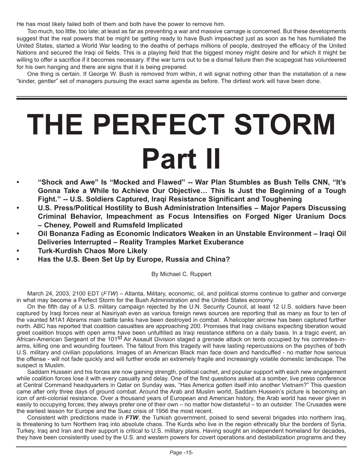He has most likely failed both of them and both have the power to remove him.

Too much, too little, too late; at least as far as preventing a war and massive carnage is concerned. But these developments suggest that the real powers that be might be getting ready to have Bush impeached just as soon as he has humiliated the United States, started a World War leading to the deaths of perhaps millions of people, destroyed the efficacy of the United Nations and secured the Iraqi oil fields. This is a playing field that the biggest money might desire and for which it might be willing to offer a sacrifice if it becomes necessary. If the war turns out to be a dismal failure then the scapegoat has volunteered for his own hanging and there are signs that it is being prepared.

One thing is certain. If George W. Bush is removed from within, it will signal nothing other than the installation of a new "kinder, gentler" set of managers pursuing the exact same agenda as before. The dirtiest work will have been done.

# **THE PERFECT STORM Part II**

- **• "Shock and Awe" Is "Mocked and Flawed" -- War Plan Stumbles as Bush Tells CNN, "It's Gonna Take a While to Achieve Our Objective… This Is Just the Beginning of a Tough Fight." -- U.S. Soldiers Captured, Iraqi Resistance Significant and Toughening**
- **• U.S. Press/Political Hostility to Bush Administration Intensifies Major Papers Discussing Criminal Behavior, Impeachment as Focus Intensifies on Forged Niger Uranium Docs – Cheney, Powell and Rumsfeld Implicated**
- **• Oil Bonanza Fading as Economic Indicators Weaken in an Unstable Environment Iraqi Oil Deliveries Interrupted – Reality Tramples Market Exuberance**
- **• Turk-Kurdish Chaos More Likely**
- **• Has the U.S. Been Set Up by Europe, Russia and China?**

By Michael C. Ruppert

March 24, 2003, 2100 EDT (*FTW*) – Atlanta, Military, economic, oil, and political storms continue to gather and converge in what may become a Perfect Storm for the Bush Administration and the United States economy.

On the fifth day of a U.S. military campaign rejected by the U.N. Security Council, at least 12 U.S. soldiers have been captured by Iraqi forces near al Nasiriyah even as various foreign news sources are reporting that as many as four to ten of the vaunted M1A1 Abrams main battle tanks have been destroyed in combat. A helicopter aircrew has been captured further north. ABC has reported that coalition casualties are approaching 200. Promises that Iraqi civilians expecting liberation would greet coalition troops with open arms have been unfulfilled as Iraqi resistance stiffens on a daily basis. In a tragic event, an African-American Sergeant of the 101<sup>st</sup> Air Assault Division staged a grenade attack on tents occupied by his comrades-inarms, killing one and wounding fourteen. The fallout from this tragedy will have lasting repercussions on the psyches of both U.S. military and civilian populations. Images of an American Black man face down and handcuffed - no matter how serious the offense - will not fade quickly and will further erode an extremely fragile and increasingly volatile domestic landscape. The suspect is Muslim.

Saddam Hussein and his forces are now gaining strength, political cachet, and popular support with each new engagement while coalition forces lose it with every casualty and delay. One of the first questions asked at a somber, live press conference at Central Command headquarters in Qatar on Sunday was, "Has America gotten itself into another Vietnam?" This question came after only three days of ground combat. Around the Arab and Muslim world, Saddam Hussein's picture is becoming an icon of anti-colonial resistance. Over a thousand years of European and American history, the Arab world has never given in easily to occupying forces; they always prefer one of their own – no matter how distasteful – to an outsider. The Crusades were the earliest lesson for Europe and the Suez crisis of 1956 the most recent.

Consistent with predictions made in *FTW*, the Turkish government, poised to send several brigades into northern Iraq, is threatening to turn Northern Iraq into absolute chaos. The Kurds who live in the region ethnically blur the borders of Syria, Turkey, Iraq and Iran and their support is critical to U.S. military plans. Having sought an independent homeland for decades, they have been consistently used by the U.S. and western powers for covert operations and destabilization programs and they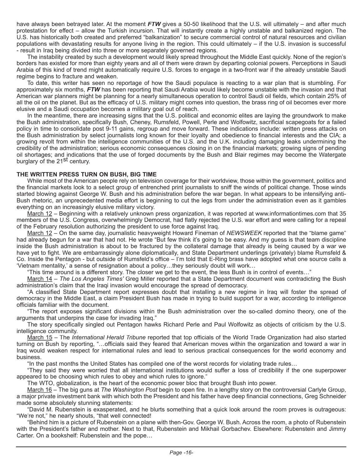have always been betrayed later. At the moment *FTW* gives a 50-50 likelihood that the U.S. will ultimately – and after much protestation for effect – allow the Turkish incursion. That will instantly create a highly unstable and balkanized region. The U.S. has historically both created and preferred "balkanization" to secure commercial control of natural resources and civilian populations with devastating results for anyone living in the region. This could ultimately – if the U.S. invasion is successful - result in Iraq being divided into three or more separately governed regions.

The instability created by such a development would likely spread throughout the Middle East quickly. None of the region's borders has existed for more than eighty years and all of them were drawn by departing colonial powers. Perceptions in Saudi Arabia of this kind of trend might automatically require U.S. forces to engage in a two-front war if the already unstable Saudi regime begins to fracture and weaken.

To date, this writer has seen no reportage of how the Saudi populace is reacting to a war plan that is stumbling. For approximately six months, *FTW* has been reporting that Saudi Arabia would likely become unstable with the invasion and that American war planners might be planning for a nearly simultaneous operation to control Saudi oil fields, which contain 25% of all the oil on the planet. But as the efficacy of U.S. military might comes into question, the brass ring of oil becomes ever more elusive and a Saudi occupation becomes a military goal out of reach.

In the meantime, there are increasing signs that the U.S. political and economic elites are laying the groundwork to make the Bush administration, specifically Bush, Cheney, Rumsfeld, Powell, Perle and Wolfowitz, sacrificial scapegoats for a failed policy in time to consolidate post 9-11 gains, regroup and move forward. These indications include: written press attacks on the Bush administration by select journalists long known for their loyalty and obedience to financial interests and the CIA; a growing revolt from within the intelligence communities of the U.S. and the U.K. including damaging leaks undermining the credibility of the administration; serious economic consequences closing in on the financial markets; growing signs of pending oil shortages; and indications that the use of forged documents by the Bush and Blair regimes may become the Watergate burglary of the 21<sup>St</sup> century.

#### **THE WRITTEN PRESS TURN ON BUSH, BIG TIME**

While most of the American people rely on television coverage for their worldview, those within the government, politics and the financial markets look to a select group of entrenched print journalists to sniff the winds of political change. Those winds started blowing against George W. Bush and his administration before the war began. In what appears to be intensifying anti-Bush rhetoric, an unprecedented media effort is beginning to cut the legs from under the administration even as it gambles everything on an increasingly elusive military victory.

March 12 – Beginning with a relatively unknown press organization, it was reported at www.informationtimes.com that 35 members of the U.S. Congress, overwhelmingly Democrat, had flatly rejected the U.S. war effort and were calling for a repeal of the February resolution authorizing the president to use force against Iraq.

March 12 – On the same day, journalistic heavyweight Howard Fineman of *NEWSWEEK* reported that the "blame game" had already begun for a war that had not. He wrote "But few think it's going to be easy. And my guess is that team discipline inside the Bush administration is about to be fractured by the collateral damage that already is being caused by a war we have yet to fight. We are embarrassingly alone diplomatically, and State Department underlings (privately) blame Rumsfeld & Co. Inside the Pentagon - but outside of Rumsfeld's office – I'm told that E-Ring brass have adopted what one source calls a 'Vietnam mentality,' a sense of resignation about a policy…they seriously doubt will work…

"This time around is a different story. The closer we get to the event, the less Bush is in control of events…"

March 14 – *The Los Angeles Times'* Greg Miller reported that a State Department document was contradicting the Bush administration's claim that the Iraqi invasion would encourage the spread of democracy.

"A classified State Department report expresses doubt that installing a new regime in Iraq will foster the spread of democracy in the Middle East, a claim President Bush has made in trying to build support for a war, according to intelligence officials familiar with the document.

"The report exposes significant divisions within the Bush administration over the so-called domino theory, one of the arguments that underpins the case for invading Iraq."

The story specifically singled out Pentagon hawks Richard Perle and Paul Wolfowitz as objects of criticism by the U.S. intelligence community.

March 15 – The *International Herald Tribune* reported that top officials of the World Trade Organization had also started turning on Bush by reporting, "…officials said they feared that American moves within the organization and toward a war in Iraq would weaken respect for international rules and lead to serious practical consequences for the world economy and business.

"In the past months the United States has compiled one of the worst records for violating trade rules…

"They said they were worried that all international institutions would suffer a loss of credibility if the one superpower appeared to be choosing which rules to obey and which rules to ignore."

The WTO, globalization, is the heart of the economic power bloc that brought Bush into power.

March 16 – The big guns at *The Washington Post* begin to open fire. In a lengthy story on the controversial Carlyle Group, a major private investment bank with which both the President and his father have deep financial connections, Greg Schneider made some absolutely stunning statements:

"David M. Rubenstein is exasperated, and he blurts something that a quick look around the room proves is outrageous: "We're not," he nearly shouts, "that well connected!

"Behind him is a picture of Rubenstein on a plane with then-Gov. George W. Bush. Across the room, a photo of Rubenstein with the President's father and mother. Next to that, Rubenstein and Mikhail Gorbachev. Elsewhere: Rubenstein and Jimmy Carter. On a bookshelf: Rubenstein and the pope…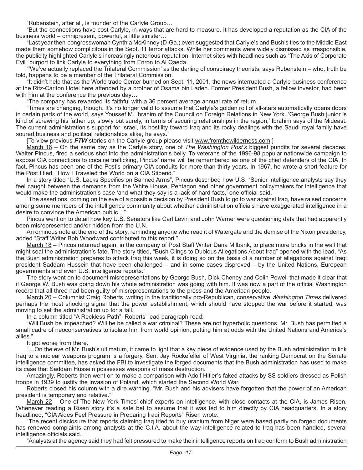"Rubenstein, after all, is founder of the Carlyle Group…

"But the connections have cost Carlyle, in ways that are hard to measure. It has developed a reputation as the CIA of the business world – omnipresent, powerful, a little sinister…

"Last year then-congresswoman Cynthia McKinney (D-Ga.) even suggested that Carlyle's and Bush's ties to the Middle East made them somehow complicitous in the Sept. 11 terror attacks. While her comments were widely dismissed as irresponsible, the publicity highlighted Carlyle's increasingly notorious reputation. Internet sites with headlines such as "The Axis of Corporate Evil" purport to link Carlyle to everything from Enron to Al Qaeda.

"'We've actually replaced the Trilateral Commission' as the darling of conspiracy theorists, says Rubenstein – who, truth be told, happens to be a member of the Trilateral Commission.

"It didn't help that as the World trade Center burned on Sept. 11, 2001, the news interrupted a Carlyle business conference at the Ritz-Carlton Hotel here attended by a brother of Osama bin Laden. Former President Bush, a fellow investor, had been with him at the conference the previous day…

"The company has rewarded its faithful with a 36 percent average annual rate of return…

"Times are changing, though. It's no longer valid to assume that Carlyle's golden roll of all-stars automatically opens doors in certain parts of the world, says Youssef M. Ibrahim of the Council on Foreign Relations in New York. 'George Bush junior is kind of screwing his father up, slowly but surely, in terms of securing relationships in the region,' Ibrahim says of the Mideast. The current administration's support for Israel, its hostility toward Iraq and its rocky dealings with the Saudi royal family have soured business and political relationships alike, he says."

[To view previous *FTW* stories on the Carlyle group please visit www.fromthewilderness.com.]

March 16 – On the same day as the Carlyle story, one of *The Washington Post's* biggest pundits for several decades, Walter Pincus, fired a serious shot into the administration's belly. To veterans of the 1996-98 popular nationwide campaign to expose CIA connections to cocaine trafficking, Pincus' name will be remembered as one of the chief defenders of the CIA. In fact, Pincus has been one of the Post's primary CIA conduits for more than thirty years. In 1967, he wrote a short feature for the Post titled, "How I Traveled the World on a CIA Stipend."

In a story titled "U.S. Lacks Specifics on Banned Arms", Pincus described how U.S. "Senior intelligence analysts say they feel caught between the demands from the White House, Pentagon and other government policymakers for intelligence that would make the administration's case 'and what they say is a lack of hard facts,' one official said.

"The assertions, coming on the eve of a possible decision by President Bush to go to war against Iraq, have raised concerns among some members of the intelligence community about whether administration officials have exaggerated intelligence in a desire to convince the American public…"

Pincus went on to detail how key U.S. Senators like Carl Levin and John Warner were questioning data that had apparently been misrepresented and/or hidden from the U.N.

An ominous note at the end of the story, reminding anyone who read it of Watergate and the demise of the Nixon presidency, added "Staff Writer Bob Woodward contributed to this report."

March 18 – Pincus returned again, in the company of Post Staff Writer Dana Milbank, to place more bricks in the wall that might seal the administration's fate. The story titled, "Bush Clings to Dubious Allegations About Iraq" opened with the lead, "As the Bush administration prepares to attack Iraq this week, it is doing so on the basis of a number of allegations against Iraqi president Saddam Hussein that have been challenged – and in some cases disproved – by the United Nations, European governments and even U.S. intelligence reports."

The story went on to document misrepresentations by George Bush, Dick Cheney and Colin Powell that made it clear that if George W. Bush was going down his whole administration was going with him. It was now a part of the official Washington record that all three had been guilty of misrepresentations to the press and the American people.

March 20 – Columnist Craig Roberts, writing in the traditionally pro-Republican, conservative *Washington Times* delivered perhaps the most shocking signal that the power establishment, which should have stopped the war before it started, was moving to set the administration up for a fall.

In a column titled "A Reckless Path", Roberts' lead paragraph read:

"Will Bush be impeached? Will he be called a war criminal? These are not hyperbolic questions. Mr. Bush has permitted a small cadre of neoconservatives to isolate him from world opinion, putting him at odds with the United Nations and America's allies."

It got worse from there.

"…On the eve of Mr. Bush's ultimatum, it came to light that a key piece of evidence used by the Bush administration to link Iraq to a nuclear weapons program is a forgery. Sen. Jay Rockefeller of West Virginia, the ranking Democrat on the Senate intelligence committee, has asked the FBI to investigate the forged documents that the Bush administration has used to make its case that Saddam Hussein possesses weapons of mass destruction."

Amazingly, Roberts then went on to make a comparison with Adolf Hitler's faked attacks by SS soldiers dressed as Polish troops in 1939 to justify the invasion of Poland, which started the Second World War.

Roberts closed his column with a dire warning. "Mr. Bush and his advisers have forgotten that the power of an American president is temporary and relative."

March 22 – One of The New York Times' chief experts on intelligence, with close contacts at the CIA, is James Risen. Whenever reading a Risen story it's a safe bet to assume that it was fed to him directly by CIA headquarters. In a story headlined, "CIA Aides Feel Pressure in Preparing Iraqi Reports" Risen wrote:

"The recent disclosure that reports claiming Iraq tried to buy uranium from Niger were based partly on forged documents has renewed complaints among analysts at the C.I.A. about the way intelligence related to Iraq has been handled, several intelligence officials said.

"Analysts at the agency said they had felt pressured to make their intelligence reports on Iraq conform to Bush administration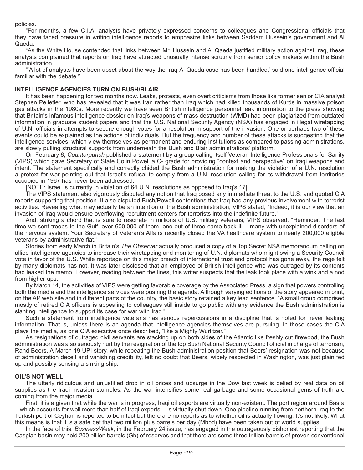policies.

"For months, a few C.I.A. analysts have privately expressed concerns to colleagues and Congressional officials that they have faced pressure in writing intelligence reports to emphasize links between Saddam Hussein's government and Al Qaeda.

"As the White House contended that links between Mr. Hussein and Al Qaeda justified military action against Iraq, these analysts complained that reports on Iraq have attracted unusually intense scrutiny from senior policy makers within the Bush administration.

"'A lot of analysts have been upset about the way the Iraq-Al Qaeda case has been handled,' said one intelligence official familiar with the debate."

#### **INTELLIGENCE AGENCIES TURN ON BUSH/BLAIR**

It has been happening for two months now. Leaks, protests, even overt criticisms from those like former senior CIA analyst Stephen Pelletier, who has revealed that it was Iran rather than Iraq which had killed thousands of Kurds in massive poison gas attacks in the 1980s. More recently we have seen British intelligence personnel leak information to the press showing that Britain's infamous intelligence dossier on Iraq's weapons of mass destruction (WMD) had been plagiarized from outdated information in graduate student papers and that the U.S. National Security Agency (NSA) has engaged in illegal wiretapping of U.N. officials in attempts to secure enough votes for a resolution in support of the invasion. One or perhaps two of these events could be explained as the actions of individuals. But the frequency and number of these attacks is suggesting that the intelligence services, which view themselves as permanent and enduring institutions as compared to passing administrations, are slowly pulling structural supports from underneath the Bush and Blair administrations' platform.

On February 8, *Counterpunch* published a statement by a group calling itself Veteran Intelligence Professionals for Sanity (VIPS) which gave Secretary of State Colin Powell a C- grade for providing "context and perspective" on Iraqi weapons and intent. The statement specifically and correctly chided the Bush administration for making the violation of a U.N. resolution a pretext for war pointing out that Israel's refusal to comply from a U.N. resolution calling for its withdrawal from territories occupied in 1967 has never been addressed.

[NOTE: Israel is currently in violation of 64 U.N. resolutions as opposed to Iraq's 17]

The VIPS statement also vigorously disputed any notion that Iraq posed any immediate threat to the U.S. and quoted CIA reports supporting that position. It also disputed Bush/Powell contentions that Iraq had any previous involvement with terrorist activities. Revealing what may actually be an intention of the Bush administration, VIPS stated, "Indeed, it is our view that an invasion of Iraq would ensure overflowing recruitment centers for terrorists into the indefinite future."

And, striking a chord that is sure to resonate in millions of U.S. military veterans, VIPS observed, "Reminder: The last time we sent troops to the Gulf, over 600,000 of them, one out of three came back ill – many with unexplained disorders of the nervous system. Your Secretary of Veteran's Affairs recently closed the VA healthcare system to nearly 200,000 eligible veterans by administrative fiat."

Stories from early March in Britain's *The Observerl* actually produced a copy of a Top Secret NSA memorandum calling on allied intelligence agencies to increase their wiretapping and monitoring of U.N. diplomats who might swing a Security Council vote in favor of the U.S. While reportage on this major breach of international trust and protocol has gone away, the rage felt by many diplomats has not. It was later disclosed that an employee of British intelligence who was outraged by its contents had leaked the memo. However, reading between the lines, this writer suspects that the leak took place with a wink and a nod from higher ups.

By March 14, the activities of VIPS were getting favorable coverage by the Associated Press, a sign that powers controlling both the media and the intelligence services were pushing the agenda. Although varying editions of the story appeared in print, on the AP web site and in different parts of the country, the basic story retained a key lead sentence. "A small group comprised mostly of retired CIA officers is appealing to colleagues still inside to go public with any evidence the Bush administration is slanting intelligence to support its case for war with Iraq."

Such a statement from intelligence veterans has serious repercussions in a discipline that is noted for never leaking information. That is, unless there is an agenda that intelligence agencies themselves are pursuing. In those cases the CIA plays the media, as one CIA executive once described, "like a Mighty Wurlitzer."

As resignations of outraged civil servants are stacking up on both sides of the Atlantic like freshly cut firewood, the Bush administration was also seriously hurt by the resignation of the top Bush National Security Council official in charge of terrorism, Rand Beers. A March 19 UPI story, while repeating the Bush administration position that Beers' resignation was not because of administration deceit and vanishing credibility, left no doubt that Beers, widely respected in Washington, was just plain fed up and possibly sensing a sinking ship.

#### **OIL'S NOT WELL**

The utterly ridiculous and unjustified drop in oil prices and upsurge in the Dow last week is belied by real data on oil supplies as the Iraqi invasion stumbles. As the war intensifies some real garbage and some occasional gems of truth are coming from the major media.

First, it is a given that while the war is in progress, Iraqi oil exports are virtually non-existent. The port region around Basra – which accounts for well more than half of Iraqi exports -- is virtually shut down. One pipeline running from northern Iraq to the Turkish port of Ceyhan is reported to be intact but there are no reports as to whether oil is actually flowing. It's not likely. What this means is that it is a safe bet that two million plus barrels per day (Mbpd) have been taken out of world supplies.

In the face of this, *BusinessWeek*, in the February 24 issue, has engaged in the outrageously dishonest reporting that the Caspian basin may hold 200 billion barrels (Gb) of reserves and that there are some three trillion barrels of proven conventional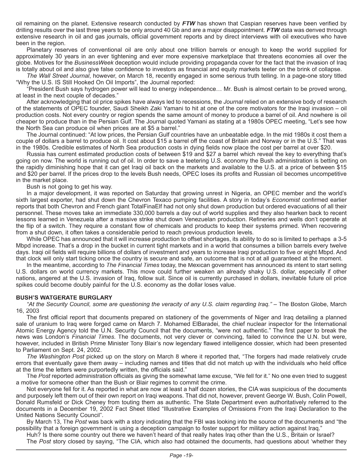oil remaining on the planet. Extensive research conducted by *FTW* has shown that Caspian reserves have been verified by drilling results over the last three years to be only around 40 Gb and are a major disappointment. *FTW* data was derived through extensive research in oil and gas journals, official government reports and by direct interviews with oil executives who have been in the region.

Planetary reserves of conventional oil are only about one trillion barrels or enough to keep the world supplied for approximately 30 years in an ever tightening and ever more expensive marketplace that threatens economies all over the globe. Motives for the *BusinessWeek* deception would include providing propaganda cover for the fact that the invasion of Iraq is totally about oil and also give false confidence to investors as financial and equity markets teeter on the brink of collapse.

*The Wall Street Journal*, however, on March 18, recently engaged in some serious truth telling. In a page-one story titled "Why the U.S. IS Still Hooked On Oil Imports", the Journal reported:

"President Bush says hydrogen power will lead to energy independence… Mr. Bush is almost certain to be proved wrong, at least in the next couple of decades."

After acknowledging that oil price spikes have always led to recessions, the *Journal* relied on an extensive body of research of the statements of OPEC founder, Saudi Sheikh Zaki Yamani to hit at one of the core motivators for the Iraqi invasion – oil production costs. Not every country or region spends the same amount of money to produce a barrel of oil. And nowhere is oil cheaper to produce than in the Persian Gulf. The Journal quoted Yamani as stating at a 1980s OPEC meeting, "Let's see how the North Sea can produce oil when prices are at \$5 a barrel."

The Journal continued: "At low prices, the Persian Gulf countries have an unbeatable edge. In the mid 1980s it cost them a couple of dollars a barrel to produce oil. It cost about \$15 a barrel off the coast of Britain and Norway or in the U.S." That was in the 1980s. Credible estimates of North Sea production costs in dying fields now place the cost per barrel at over \$20.

Russia has current estimated production costs of between \$19 and \$27 a barrel which reveal the key to everything that's going on now. The world is running out of oil. In order to save a teetering U.S. economy the Bush administration is betting on the rapidly diminishing hope that it can get Iraqi oil back on the markets and available to the U.S. at a price of between \$15 and \$20 per barrel. If the prices drop to the levels Bush needs, OPEC loses its profits and Russian oil becomes uncompetitive in the market place.

Bush is not going to get his way.

In a major development, it was reported on Saturday that growing unrest in Nigeria, an OPEC member and the world's sixth largest exporter, had shut down the Chevron Texaco pumping facilities. A story in today's *Economist* confirmed earlier reports that both Chevron and French giant TotalFinaElf had not only shut down production but ordered evacuations of all their personnel. These moves take an immediate 330,000 barrels a day out of world supplies and they also hearken back to recent lessons learned in Venezuela after a massive strike shut down Venezuelan production. Refineries and wells don't operate at the flip of a switch. They require a constant flow of chemicals and products to keep their systems primed. When recovering from a shut down, it often takes a considerable period to reach previous production levels.

While OPEC has announced that it will increase production to offset shortages, its ability to do so is limited to perhaps a 3-5 Mbpd increase. That's a drop in the bucket in current tight markets and in a world that consumes a billion barrels every twelve days. Iraqi oil fields will require billions of dollars of investment and years to increase Iraqi production to five or eight Mbpd. And that clock will only start ticking once the country is secure and safe, an outcome that is not at all guaranteed at the moment.

In the meantime, according to *The Financial Times* today, the Mexican government has announced its intent to start selling U.S. dollars on world currency markets. This move could further weaken an already shaky U.S. dollar, especially if other nations, angered at the U.S. invasion of Iraq, follow suit. Since oil is currently purchased in dollars, inevitable future oil price spikes could become doubly painful for the U.S. economy as the dollar loses value.

#### **BUSH'S WATGERATE BURGLARY**

*"At the Security Council, some are questioning the veracity of any U.S. claim regarding Iraq."* – The Boston Globe, March 16, 2003

The first official report that documents prepared on stationery of the governments of Niger and Iraq detailing a planned sale of uranium to Iraq were forged came on March 7. Mohamed ElBaradei, the chief nuclear inspector for the International Atomic Energy Agency told the U.N. Security Council that the documents, "were not authentic." The first paper to break the news was London's *Financial Times*. The documents, not very clever or convincing, failed to convince the U.N. but were, however, included in British Prime Minister Tony Blair's now legendary flawed intelligence dossier, which had been presented to Parliament on Sept. 24, 2002.

*The Washington Post* picked up on the story on March 8 where it reported that, "The forgers had made relatively crude errors that eventually gave them away – including names and titles that did not match up with the individuals who held office at the time the letters were purportedly written, the officials said."

The Post reported administration officials as giving the somewhat lame excuse, "We fell for it." No one even tried to suggest a motive for someone other than the Bush or Blair regimes to commit the crime.

Not everyone fell for it. As reported in what are now at least a half dozen stories, the CIA was suspicious of the documents and purposely left them out of their own report on Iraqi weapons. That did not, however, prevent George W. Bush, Colin Powell, Donald Rumsfeld or Dick Cheney from touting them as authentic. The State Department even authoritatively referred to the documents in a December 19, 2002 Fact Sheet titled "Illustrative Examples of Omissions From the Iraqi Declaration to the United Nations Security Council".

By March 13, The *Post* was back with a story indicating that the FBI was looking into the source of the documents and "the possibility that a foreign government is using a deception campaign to foster support for military action against Iraq."

Huh? Is there some country out there we haven't heard of that really hates Iraq other than the U.S., Britain or Israel? The *Post* story closed by saying, "The CIA, which also had obtained the documents, had questions about 'whether they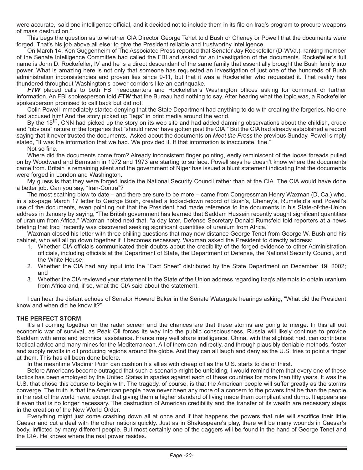were accurate,' said one intelligence official, and it decided not to include them in its file on Iraq's program to procure weapons of mass destruction."

This begs the question as to whether CIA Director George Tenet told Bush or Cheney or Powell that the documents were forged. That's his job above all else: to give the President reliable and trustworthy intelligence.

On March 14, Ken Guggenheim of The Associated Press reported that Senator Jay Rockefeller (D-WVa.), ranking member of the Senate Intelligence Committee had called the FBI and asked for an investigation of the documents. Rockefeller's full name is John D. Rockefeller, IV and he is a direct descendant of the same family that essentially brought the Bush family into power. What is amazing here is not only that someone has requested an investigation of just one of the hundreds of Bush administration inconsistencies and proven lies since 9-11, but that it was a Rockefeller who requested it. That reality has thundered throughout Washington's power corridors like an earthquake.

*FTW* placed calls to both FBI headquarters and Rockefeller's Washington offices asking for comment or further information. An FBI spokesperson told *FTW* that the Bureau had nothing to say. After hearing what the topic was, a Rockefeller spokesperson promised to call back but did not.

Colin Powell immediately started denying that the State Department had anything to do with creating the forgeries. No one had accused him! And the story picked up "legs" in print media around the world.

By the 15<sup>th</sup>, CNN had picked up the story on its web site and had added damning observations about the childish, crude and "obvious" nature of the forgeries that "should never have gotten past the CIA." But the CIA had already established a record saying that it never trusted the documents. Asked about the documents on *Meet the Press* the previous Sunday, Powell simply stated, "It was the information that we had. We provided it. If that information is inaccurate, fine."

Not so fine.

Where did the documents come from? Already inconsistent finger pointing, eerily reminiscent of the loose threads pulled on by Woodward and Bernstein in 1972 and 1973 are starting to surface. Powell says he doesn't know where the documents came from. Britain is remaining silent and the government of Niger has issued a blunt statement indicating that the documents were forged in London and Washington.

My guess is that they were forged inside the National Security Council rather than at the CIA. The CIA would have done a better job. Can you say, "Iran-Contra"?

The most scathing blow to date – and there are sure to be more – came from Congressman Henry Waxman (D, Ca.) who, in a six-page March 17 letter to George Bush, created a locked-down record of Bush's, Cheney's, Rumsfeld's and Powell's use of the documents, even pointing out that the President had made reference to the documents in his State-of-the-Union address in January by saying, "The British government has learned that Saddam Hussein recently sought significant quantities of uranium from Africa." Waxman noted next that, "a day later, Defense Secretary Donald Rumsfeld told reporters at a news briefing that Iraq "recently was discovered seeking significant quantities of uranium from Africa."

Waxman closed his letter with three chilling questions that may now distance George Tenet from George W. Bush and his cabinet, who will all go down together if it becomes necessary. Waxman asked the President to directly address:

- 1. Whether CIA officials communicated their doubts about the credibility of the forged evidence to other Administration officials, including officials at the Department of State, the Department of Defense, the National Security Council, and the White House;
- 2. Whether the CIA had any input into the "Fact Sheet" distributed by the State Department on December 19, 2002; and
- 3. Whether the CIA reviewed your statement in the State of the Union address regarding Iraq's attempts to obtain uranium from Africa and, if so, what the CIA said about the statement.

I can hear the distant echoes of Senator Howard Baker in the Senate Watergate hearings asking, "What did the President know and when did he know it?"

#### **THE PERFECT STORM**

It's all coming together on the radar screen and the chances are that these storms are going to merge. In this all out economic war of survival, as Peak Oil forces its way into the public consciousness, Russia will likely continue to provide Saddam with arms and technical assistance. France may well share intelligence. China, with the slightest nod, can contribute tactical advice and many mines for the Mediterranean. All of them can indirectly, and through plausibly deniable methods, foster and supply revolts in oil producing regions around the globe. And they can all laugh and deny as the U.S. tries to point a finger at them. This has all been done before.

In the meantime Vladimir Putin can cushion his allies with cheap oil as the U.S. starts to die of thirst.

Before Americans become outraged that such a scenario might be unfolding, I would remind them that every one of these tactics has been employed by the United States in spades against each of these countries for more than fifty years. It was the U.S. that chose this course to begin with. The tragedy, of course, is that the American people will suffer greatly as the storms converge. The truth is that the American people have never been any more of a concern to the powers that be than the people in the rest of the world have, except that giving them a higher standard of living made them compliant and dumb. It appears as if even that is no longer necessary. The destruction of American credibility and the transfer of its wealth are necessary steps in the creation of the New World Order.

Everything might just come crashing down all at once and if that happens the powers that rule will sacrifice their little Caesar and cut a deal with the other nations quickly. Just as in Shakespeare's play, there will be many wounds in Caesar's body, inflicted by many different people. But most certainly one of the daggers will be found in the hand of George Tenet and the CIA. He knows where the real power resides.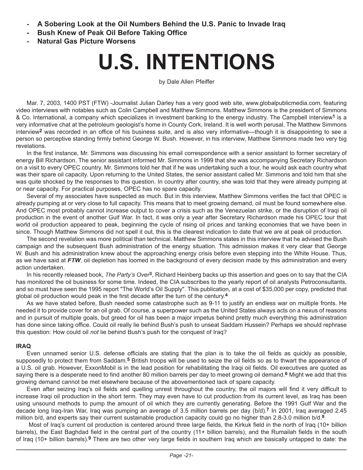- **- A Sobering Look at the Oil Numbers Behind the U.S. Panic to Invade Iraq**
- **Bush Knew of Peak Oil Before Taking Office**
- **- Natural Gas Picture Worsens**

## **U.S. INTENTIONS**

by Dale Allen Pfeiffer

Mar. 7, 2003, 1400 PST (FTW) -Journalist Julian Darley has a very good web site, www.globalpublicmedia.com, featuring video interviews with notables such as Colin Campbell and Matthew Simmons. Matthew Simmons is the president of Simmons & Co. International, a company which specializes in investment banking to the energy industry. The Campbell interview**1** is a very informative chat at the petroleum geologist's home in County Cork, Ireland. It is well worth perusal. The Matthew Simmons interview**2** was recorded in an office of his business suite, and is also very informative—though it is disappointing to see a person so perceptive standing firmly behind George W. Bush. However, in his interview, Matthew Simmons made two very big revelations.

In the first instance, Mr. Simmons was discussing his email correspondence with a senior assistant to former secretary of energy Bill Richardson. The senior assistant informed Mr. Simmons in 1999 that she was accompanying Secretary Richardson on a visit to every OPEC country. Mr. Simmons told her that if he was undertaking such a tour, he would ask each country what was their spare oil capacity. Upon returning to the United States, the senior assistant called Mr. Simmons and told him that she was quite shocked by the responses to this question. In country after country, she was told that they were already pumping at or near capacity. For practical purposes, OPEC has no spare capacity.

Several of my associates have suspected as much. But in this interview, Matthew Simmons verifies the fact that OPEC is already pumping at or very close to full capacity. This means that to meet growing demand, oil must be found somewhere else. And OPEC most probably cannot increase output to cover a crisis such as the Venezuelan strike, or the disruption of Iraqi oil production in the event of another Gulf War. In fact, it was only a year after Secretary Richardson made his OPEC tour that world oil production appeared to peak, beginning the cycle of rising oil prices and tanking economies that we have been in since. Though Matthew Simmons did not spell it out, this is the clearest indication to date that we are at peak oil production.

The second revelation was more political than technical. Matthew Simmons states in this interview that he advised the Bush campaign and the subsequent Bush administration of the energy situation. This admission makes it very clear that George W. Bush and his administration knew about the approaching energy crisis before even stepping into the White House. Thus, as we have said at FTW, oil depletion has loomed in the background of every decision made by this administration and every action undertaken.

In his recently released book, *The Party's Over***3**, Richard Heinberg backs up this assertion and goes on to say that the CIA has monitored the oil business for some time. Indeed, the CIA subscribes to the yearly report of oil analysts Petroconsultants, and so must have seen the 1995 report "The World's Oil Supply". This publication, at a cost of \$35,000 per copy, predicted that global oil production would peak in the first decade after the turn of the century.**4**

As we have stated before, Bush needed some catastrophe such as 9-11 to justify an endless war on multiple fronts. He needed it to provide cover for an oil grab. Of course, a superpower such as the United States always acts on a nexus of reasons and in pursuit of multiple goals, but greed for oil has been a major impetus behind pretty much everything this administration has done since taking office. Could oil really lie behind Bush's push to unseat Saddam Hussein? Perhaps we should rephrase this question: How could oil *not* lie behind Bush's push for the conquest of Iraq?

#### **IRAQ**

Even unnamed senior U.S. defense officials are stating that the plan is to take the oil fields as quickly as possible, supposedly to protect them from Saddam.**5** British troops will be used to seize the oil fields so as to thwart the appearance of a U.S. oil grab. However, ExxonMobil is in the lead position for rehabilitating the Iraqi oil fields. Oil executives are quoted as saying there is a desperate need to find another 80 million barrels per day to meet growing oil demand.**6** Might we add that this growing demand cannot be met elsewhere because of the abovementioned lack of spare capacity.

Even after seizing Iraq's oil fields and quelling unrest throughout the country, the oil majors will find it very difficult to increase Iraqi oil production in the short term. They may even have to cut production from its current level, as Iraq has been using unsound methods to pump the amount of oil which they are currently generating. Before the 1991 Gulf War and the decade long Iraq-Iran War, Iraq was pumping an average of 3.5 million barrels per day (b/d).**7** In 2001, Iraq averaged 2.45 million b/d, and experts say their current sustainable production capacity could go no higher than 2.8-3.0 million b/d.**8**

 Most of Iraq's current oil production is centered around three large fields, the Kirkuk field in the north of Iraq (10+ billion barrels), the East Baghdad field in the central part of the country (11+ billion barrels), and the Rumailah fields in the south of Iraq (10+ billion barrels).**9** There are two other very large fields in southern Iraq which are basically untapped to date: the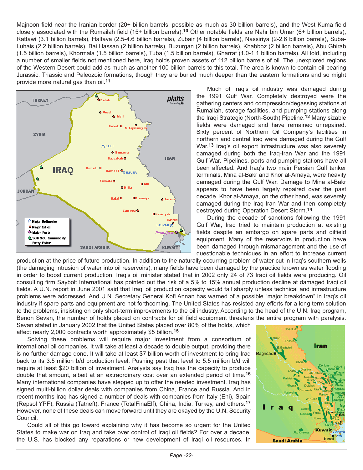Majnoon field near the Iranian border (20+ billion barrels, possible as much as 30 billion barrels), and the West Kuma field closely associated with the Rumailah field (15+ billion barrels).**10** Other notable fields are Nahr bin Umar (6+ billion barrels), Rattawi (3.1 billion barrels), Halfaya (2.5-4.6 billion barrels), Zubair (4 billion barrels), Nassiriya (2-2.6 billion barrels), Suba-Luhais (2.2 billion barrels), Bai Hassan (2 billion barrels), Buzurgan (2 billion barrels), Khabboz (2 billion barrels), Abu Ghirab (1.5 billion barrels), Khormala (1.5 billion barrels), Tuba (1.5 billion barrels), Gharraf (1.0-1.1 billion barrels). All told, including a number of smaller fields not mentioned here, Iraq holds proven assets of 112 billion barrels of oil. The unexplored regions of the Western Desert could add as much as another 100 billion barrels to this total. The area is known to contain oil-bearing Jurassic, Triassic and Paleozoic formations, though they are buried much deeper than the eastern formations and so might provide more natural gas than oil.**11**



Much of Iraq's oil industry was damaged during the 1991 Gulf War. Completely destroyed were the gathering centers and compression/degassing stations at Rumailah, storage facilities, and pumping stations along the Iraqi Strategic (North-South) Pipeline.**12** Many sizable fields were damaged and have remained unrepaired. Sixty percent of Northern Oil Company's facilities in northern and central Iraq were damaged during the Gulf War.**13** Iraq's oil export infrastructure was also severely damaged during both the Iraq-Iran War and the 1991 Gulf War. Pipelines, ports and pumping stations have all been affected. And Iraq's two main Persian Gulf tanker terminals, Mina al-Bakr and Khor al-Amaya, were heavily damaged during the Gulf War. Damage to Mina al-Bakr appears to have been largely repaired over the past decade. Khor al-Amaya, on the other hand, was severely damaged during the Iraq-Iran War and then completely destroyed during Operation Desert Storm.**14**

During the decade of sanctions following the 1991 Gulf War, Iraq tried to maintain production at existing fields despite an embargo on spare parts and oilfield equipment. Many of the reservoirs in production have been damaged through mismanagement and the use of questionable techniques in an effort to increase current

production at the price of future production. In addition to the naturally occurring problem of water cut in Iraq's southern wells (the damaging intrusion of water into oil reservoirs), many fields have been damaged by the practice known as water flooding in order to boost current production. Iraq's oil minister stated that in 2002 only 24 of 73 Iraqi oil fields were producing. Oil consulting firm Saybolt International has pointed out the risk of a 5% to 15% annual production decline at damaged Iraqi oil fields. A U.N. report in June 2001 said that Iraqi oil production capacity would fall sharply unless technical and infrastructure problems were addressed. And U.N. Secretary General Kofi Annan has warned of a possible "major breakdown" in Iraq's oil industry if spare parts and equipment are not forthcoming. The United States has resisted any efforts for a long term solution to the problems, insisting on only short-term improvements to the oil industry. According to the head of the U.N. Iraq program, Benon Sevan, the number of holds placed on contracts for oil field equipment threatens the entire program with paralysis.

Sevan stated in January 2002 that the United States placed over 80% of the holds, which affect nearly 2,000 contracts worth approximately \$5 billion.**15**

Solving these problems will require major investment from a consortium of international oil companies. It will take at least a decade to double output, providing there is no further damage done. It will take at least \$7 billion worth of investment to bring Iraq back to its 3.5 million b/d production level. Pushing past that level to 5.5 million b/d will require at least \$20 billion of investment. Analysts say Iraq has the capacity to produce double that amount, albeit at an extraordinary cost over an extended period of time.**16** Many international companies have stepped up to offer the needed investment. Iraq has signed multi-billion dollar deals with companies from China, France and Russia. And in recent months Iraq has signed a number of deals with companies from Italy (Eni), Spain (Repsol YPF), Russia (Tatneft), France (TotalFinaElf), China, India, Turkey, and others.**17** However, none of these deals can move forward until they are okayed by the U.N. Security Council.

Could all of this go toward explaining why it has become so urgent for the United States to make war on Iraq and take over control of Iraqi oil fields? For over a decade, the U.S. has blocked any reparations or new development of Iraqi oil resources. In

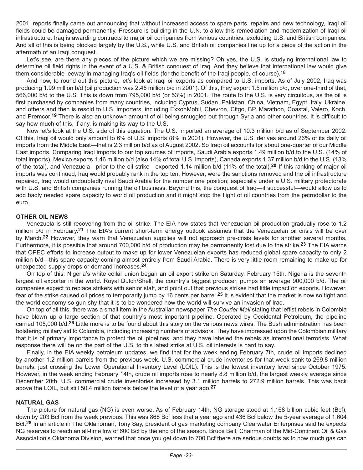2001, reports finally came out announcing that without increased access to spare parts, repairs and new technology, Iraqi oil fields could be damaged permanently. Pressure is building in the U.N. to allow this remediation and modernization of Iraqi oil infrastructure. Iraq is awarding contracts to major oil companies from various countries, excluding U.S. and British companies. And all of this is being blocked largely by the U.S., while U.S. and British oil companies line up for a piece of the action in the aftermath of an Iraqi conquest.

Let's see, are there any pieces of the picture which we are missing? Oh yes, the U.S. is studying international law to determine oil field rights in the event of a U.S. & British conquest of Iraq. And they believe that international law would give them considerable leeway in managing Iraq's oil fields (for the benefit of the Iraqi people, of course).**18**

And now, to round out this picture, let's look at Iraqi oil exports as compared to U.S. imports. As of July 2002, Iraq was producing 1.99 million b/d (oil production was 2.45 million b/d in 2001). Of this, they export 1.5 million b/d, over one-third of that, 566,000 b/d to the U.S. This is down from 795,000 b/d (or 53%) in 2001. The route to the U.S. is very circuitous, as the oil is first purchased by companies from many countries, including Cyprus, Sudan, Pakistan, China, Vietnam, Egypt, Italy, Ukraine, and others and then is resold to U.S. importers, including ExxonMobil, Chevron, Citgo, BP, Marathon, Coastal, Valero, Koch, and Premcor.**19** There is also an unknown amount of oil being smuggled out through Syria and other countries. It is difficult to say how much of this, if any, is making its way to the U.S.

Now let's look at the U.S. side of this equation. The U.S. imported an average of 10.3 million b/d as of September 2002. Of this, Iraqi oil would only amount to 6% of U.S. imports (8% in 2001). However, the U.S. derives around 26% of its daily oil imports from the Middle East—that is 2.3 million b/d as of August 2002. So Iraqi oil accounts for about one-quarter of our Middle East imports. Comparing Iraqi imports to our top sources of imports, Saudi Arabia exports 1.49 million b/d to the U.S. (14% of total imports), Mexico exports 1.46 million b/d (also 14% of total U.S. imports), Canada exports 1.37 million b/d to the U.S. (13% of the total), and Venezuela—prior to the oil strike—exported 1.14 million b/d (11% of the total).**20** If this ranking of major oil imports was continued, Iraq would probably rank in the top ten. However, were the sanctions removed and the oil infrastructure repaired, Iraq would undoubtedly rival Saudi Arabia for the number one position; especially under a U.S. military protectorate with U.S. and British companies running the oil business. Beyond this, the conquest of Iraq—if successful—would allow us to add badly needed spare capacity to world oil production and it might stop the flight of oil countries from the petrodollar to the euro.

#### **OTHER OIL NEWS**

Venezuela is still recovering from the oil strike. The EIA now states that Venezuelan oil production gradually rose to 1.2 million b/d in February.**21** The EIA's current short-term energy outlook assumes that the Venezuelan oil crisis will be over by March.**22** However, they warn that Venezuelan supplies will not approach pre-crisis levels for another several months. Furthermore, it is possible that around 700,000 b/d of production may be permanently lost due to the strike.**23** The EIA warns that OPEC efforts to increase output to make up for lower Venezuelan exports has reduced global spare capacity to only 2 million b/d—this spare capacity coming almost entirely from Saudi Arabia. There is very little room remaining to make up for unexpected supply drops or demand increases.**24**

On top of this, Nigeria's white collar union began an oil export strike on Saturday, February 15th. Nigeria is the seventh largest oil exporter in the world. Royal Dutch/Shell, the country's biggest producer, pumps an average 900,000 b/d. The oil companies expect to replace strikers with senior staff, and point out that previous strikes had little impact on exports. However, fear of the strike caused oil prices to temporarily jump by 16 cents per barrel.**25** It is evident that the market is now so tight and the world economy so gun-shy that it is to be wondered how the world will survive an invasion of Iraq.

On top of all this, there was a small item in the Australian newspaper *The Courier Mail* stating that leftist rebels in Colombia have blown up a large section of that country's most important pipeline. Operated by Occidental Petroleum, the pipeline carried 105,000 b/d.**26** Little more is to be found about this story on the various news wires. The Bush administration has been bolstering military aid to Colombia, including increasing numbers of advisors. They have impressed upon the Colombian military that it is of primary importance to protect the oil pipelines, and they have labeled the rebels as international terrorists. What response there will be on the part of the U.S. to this latest strike at U.S. oil interests is hard to say.

Finally, in the EIA weekly petroleum updates, we find that for the week ending February 7th, crude oil imports declined by another 1.2 million barrels from the previous week. U.S. commercial crude inventories for that week sank to 269.8 million barrels, just crossing the Lower Operational Inventory Level (LOIL). This is the lowest inventory level since October 1975. However, in the week ending February 14th, crude oil imports rose to nearly 8.8 million b/d, the largest weekly average since December 20th. U.S. commercial crude inventories increased by 3.1 million barrels to 272.9 million barrels. This was back above the LOIL, but still 50.4 million barrels below the level of a year ago.**27**

#### **NATURAL GAS**

The picture for natural gas (NG) is even worse. As of February 14th, NG storage stood at 1,168 billion cubic feet (Bcf), down by 203 Bcf from the week previous. This was 868 Bcf less that a year ago and 436 Bcf below the 5-year average of 1,604 Bcf.**28** In an article in The Oklahoman, Tony Say, president of gas marketing company Clearwater Enterprises said he expects NG reserves to reach an all-time low of 600 Bcf by the end of the season. Bruce Bell, Chairman of the Mid-Continent Oil & Gas Association's Oklahoma Division, warned that once you get down to 700 Bcf there are serious doubts as to how much gas can